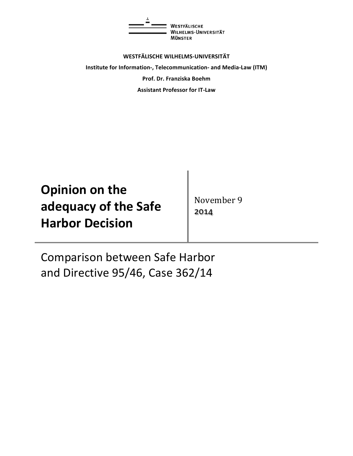

**WESTFÄLISCHE WILHELMS-UNIVERSITÄT Institute for Information-, Telecommunication- and Media-Law (ITM) Prof. Dr. Franziska Boehm Assistant Professor for IT-Law** 

| <b>Opinion on the</b>  |
|------------------------|
| adequacy of the Safe   |
| <b>Harbor Decision</b> |

November 9 2014

Comparison between Safe Harbor and Directive 95/46, Case 362/14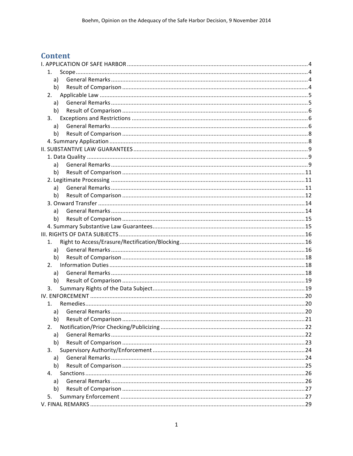# **Content**

| 1.           |  |
|--------------|--|
| a)           |  |
| b)           |  |
| 2.           |  |
| a)           |  |
| b)           |  |
| 3.           |  |
| a)           |  |
| b)           |  |
|              |  |
|              |  |
|              |  |
| a)           |  |
| b)           |  |
|              |  |
| a)           |  |
| b)           |  |
|              |  |
| a)           |  |
| b)           |  |
|              |  |
|              |  |
| 1.           |  |
| a)           |  |
| b)           |  |
| 2.           |  |
| a)           |  |
| b)           |  |
| 3.           |  |
|              |  |
| $1_{\ldots}$ |  |
| a)           |  |
| b)           |  |
| 2.           |  |
| a)           |  |
| b)           |  |
| 3.           |  |
| a)           |  |
| b)           |  |
| 4.           |  |
| a)           |  |
| b)           |  |
| 5.           |  |
|              |  |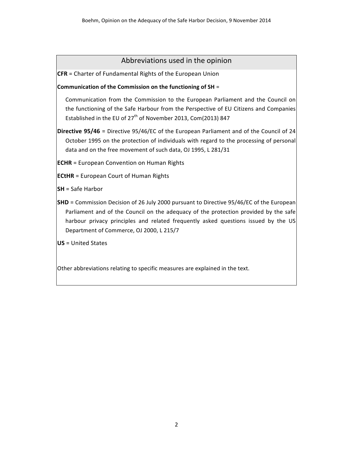## Abbreviations used in the opinion

**CFR** = Charter of Fundamental Rights of the European Union

### **Communication of the Commission on the functioning of SH =**

Communication from the Commission to the European Parliament and the Council on the functioning of the Safe Harbour from the Perspective of EU Citizens and Companies Established in the EU of  $27<sup>th</sup>$  of November 2013, Com(2013) 847

**Directive 95/46** = Directive 95/46/EC of the European Parliament and of the Council of 24 October 1995 on the protection of individuals with regard to the processing of personal data and on the free movement of such data, OJ 1995, L 281/31

**ECHR** = European Convention on Human Rights

**ECtHR** = European Court of Human Rights

**SH** = Safe Harbor

**SHD** = Commission Decision of 26 July 2000 pursuant to Directive 95/46/EC of the European Parliament and of the Council on the adequacy of the protection provided by the safe harbour privacy principles and related frequently asked questions issued by the US Department of Commerce, OJ 2000, L 215/7

**US** = United States

Other abbreviations relating to specific measures are explained in the text.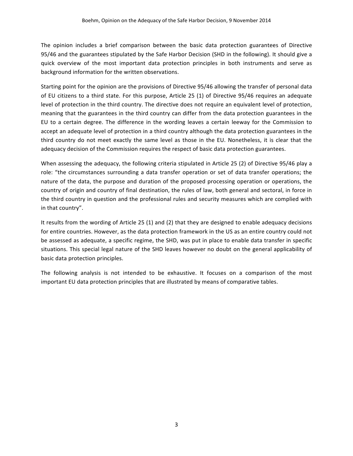The opinion includes a brief comparison between the basic data protection guarantees of Directive 95/46 and the guarantees stipulated by the Safe Harbor Decision (SHD in the following). It should give a quick overview of the most important data protection principles in both instruments and serve as background information for the written observations.

Starting point for the opinion are the provisions of Directive 95/46 allowing the transfer of personal data of EU citizens to a third state. For this purpose, Article 25 (1) of Directive 95/46 requires an adequate level of protection in the third country. The directive does not require an equivalent level of protection, meaning that the guarantees in the third country can differ from the data protection guarantees in the EU to a certain degree. The difference in the wording leaves a certain leeway for the Commission to accept an adequate level of protection in a third country although the data protection guarantees in the third country do not meet exactly the same level as those in the EU. Nonetheless, it is clear that the adequacy decision of the Commission requires the respect of basic data protection guarantees.

When assessing the adequacy, the following criteria stipulated in Article 25 (2) of Directive 95/46 play a role: "the circumstances surrounding a data transfer operation or set of data transfer operations; the nature of the data, the purpose and duration of the proposed processing operation or operations, the country of origin and country of final destination, the rules of law, both general and sectoral, in force in the third country in question and the professional rules and security measures which are complied with in that country".

It results from the wording of Article 25 (1) and (2) that they are designed to enable adequacy decisions for entire countries. However, as the data protection framework in the US as an entire country could not be assessed as adequate, a specific regime, the SHD, was put in place to enable data transfer in specific situations. This special legal nature of the SHD leaves however no doubt on the general applicability of basic data protection principles.

The following analysis is not intended to be exhaustive. It focuses on a comparison of the most important EU data protection principles that are illustrated by means of comparative tables.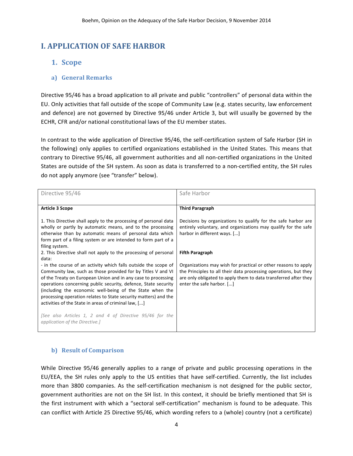## **I. APPLICATION OF SAFE HARBOR**

## **1. Scope**

### **a) General Remarks**

Directive 95/46 has a broad application to all private and public "controllers" of personal data within the EU. Only activities that fall outside of the scope of Community Law (e.g. states security, law enforcement and defence) are not governed by Directive 95/46 under Article 3, but will usually be governed by the ECHR, CFR and/or national constitutional laws of the EU member states.

In contrast to the wide application of Directive 95/46, the self-certification system of Safe Harbor (SH in the following) only applies to certified organizations established in the United States. This means that contrary to Directive 95/46, all government authorities and all non-certified organizations in the United States are outside of the SH system. As soon as data is transferred to a non-certified entity, the SH rules do not apply anymore (see "transfer" below).

| Directive 95/46                                                                                                                                                                                                                                                                                                                                                                                                                                                                                                                                         | Safe Harbor                                                                                                                                                                                                                        |
|---------------------------------------------------------------------------------------------------------------------------------------------------------------------------------------------------------------------------------------------------------------------------------------------------------------------------------------------------------------------------------------------------------------------------------------------------------------------------------------------------------------------------------------------------------|------------------------------------------------------------------------------------------------------------------------------------------------------------------------------------------------------------------------------------|
| <b>Article 3 Scope</b>                                                                                                                                                                                                                                                                                                                                                                                                                                                                                                                                  | <b>Third Paragraph</b>                                                                                                                                                                                                             |
| 1. This Directive shall apply to the processing of personal data<br>wholly or partly by automatic means, and to the processing<br>otherwise than by automatic means of personal data which<br>form part of a filing system or are intended to form part of a<br>filing system.                                                                                                                                                                                                                                                                          | Decisions by organizations to qualify for the safe harbor are<br>entirely voluntary, and organizations may qualify for the safe<br>harbor in different ways. []                                                                    |
| 2. This Directive shall not apply to the processing of personal<br>data:                                                                                                                                                                                                                                                                                                                                                                                                                                                                                | <b>Fifth Paragraph</b>                                                                                                                                                                                                             |
| - in the course of an activity which falls outside the scope of<br>Community law, such as those provided for by Titles V and VI<br>of the Treaty on European Union and in any case to processing<br>operations concerning public security, defence, State security<br>(including the economic well-being of the State when the<br>processing operation relates to State security matters) and the<br>activities of the State in areas of criminal law, []<br>[See also Articles 1, 2 and 4 of Directive 95/46 for the<br>application of the Directive.] | Organizations may wish for practical or other reasons to apply<br>the Principles to all their data processing operations, but they<br>are only obligated to apply them to data transferred after they<br>enter the safe harbor. [] |

### **b) Result of Comparison**

While Directive 95/46 generally applies to a range of private and public processing operations in the EU/EEA, the SH rules only apply to the US entities that have self-certified. Currently, the list includes more than 3800 companies. As the self-certification mechanism is not designed for the public sector, government authorities are not on the SH list. In this context, it should be briefly mentioned that SH is the first instrument with which a "sectoral self-certification" mechanism is found to be adequate. This can conflict with Article 25 Directive 95/46, which wording refers to a (whole) country (not a certificate)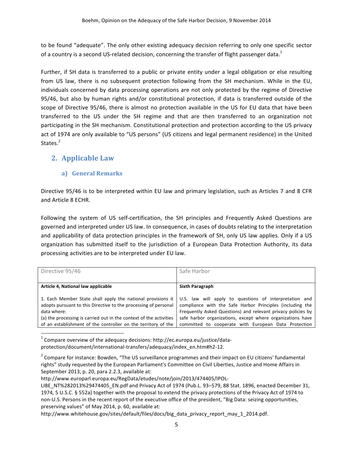to be found "adequate". The only other existing adequacy decision referring to only one specific sector of a country is a second US-related decision, concerning the transfer of flight passenger data.<sup>1</sup>

Further, if SH data is transferred to a public or private entity under a legal obligation or else resulting from US law, there is no subsequent protection following from the SH mechanism. While in the EU, individuals concerned by data processing operations are not only protected by the regime of Directive 95/46, but also by human rights and/or constitutional protection, if data is transferred outside of the scope of Directive 95/46, there is almost no protection available in the US for EU data that have been transferred to the US under the SH regime and that are then transferred to an organization not participating in the SH mechanism. Constitutional protection and protection according to the US privacy act of 1974 are only available to "US persons" (US citizens and legal permanent residence) in the United States.<sup>2</sup>

## **2. Applicable Law**

## **a) General Remarks**

Directive 95/46 is to be interpreted within EU law and primary legislation, such as Articles 7 and 8 CFR and Article 8 ECHR.

Following the system of US self-certification, the SH principles and Frequently Asked Questions are governed and interpreted under US law. In consequence, in cases of doubts relating to the interpretation and applicability of data protection principles in the framework of SH, only US law applies. Only if a US organization has submitted itself to the jurisdiction of a European Data Protection Authority, its data processing activities are to be interpreted under EU law.

| Directive 95/46                                                                                                                                                                                                                                                                      | Safe Harbor                                                                                                                                                                                                                                                                                               |
|--------------------------------------------------------------------------------------------------------------------------------------------------------------------------------------------------------------------------------------------------------------------------------------|-----------------------------------------------------------------------------------------------------------------------------------------------------------------------------------------------------------------------------------------------------------------------------------------------------------|
|                                                                                                                                                                                                                                                                                      |                                                                                                                                                                                                                                                                                                           |
| Article 4, National law applicable                                                                                                                                                                                                                                                   | <b>Sixth Paragraph</b>                                                                                                                                                                                                                                                                                    |
| 1. Each Member State shall apply the national provisions it<br>adopts pursuant to this Directive to the processing of personal<br>data where:<br>(a) the processing is carried out in the context of the activities<br>of an establishment of the controller on the territory of the | U.S. law will apply to questions of interpretation and<br>compliance with the Safe Harbor Principles (including the<br>Frequently Asked Questions) and relevant privacy policies by<br>safe harbor organizations, except where organizations have<br>committed to cooperate with European Data Protection |

Compare overview of the adequacy decisions: http://ec.europa.eu/justice/dataprotection/document/international-transfers/adequacy/index\_en.htm#h2-12.

 $<sup>2</sup>$  Compare for instance: Bowden, "The US surveillance programmes and their impact on EU citizens' fundamental</sup> rights" study requested by the European Parliament's Committee on Civil Liberties, Justice and Home Affairs in September 2013, p. 20, para 2.2.3, available at:

http://www.europarl.europa.eu/RegData/etudes/note/join/2013/474405/IPOL-

LIBE\_NT%282013%29474405\_EN.pdf and Privacy Act of 1974 (Pub.L. 93-579, 88 Stat. 1896, enacted December 31, 1974, 5 U.S.C. § 552a) together with the proposal to extend the privacy protections of the Privacy Act of 1974 to non-U.S. Persons in the recent report of the executive office of the president, "Big Data: seizing opportunities, preserving values" of May 2014, p. 60, available at:

http://www.whitehouse.gov/sites/default/files/docs/big\_data\_privacy\_report\_may\_1\_2014.pdf.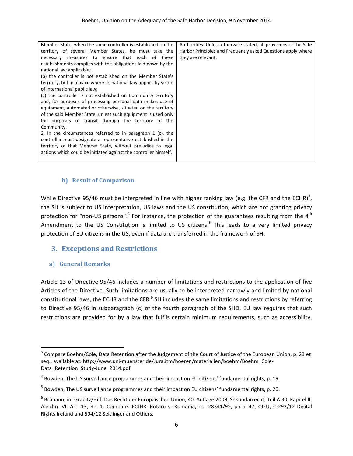| Member State; when the same controller is established on the       | Authorities. Unless otherwise stated, all provisions of the Safe |
|--------------------------------------------------------------------|------------------------------------------------------------------|
| territory of several Member States, he must take the               | Harbor Principles and Frequently asked Questions apply where     |
| necessary measures to ensure that each of these                    | they are relevant.                                               |
| establishments complies with the obligations laid down by the      |                                                                  |
| national law applicable;                                           |                                                                  |
| (b) the controller is not established on the Member State's        |                                                                  |
| territory, but in a place where its national law applies by virtue |                                                                  |
| of international public law;                                       |                                                                  |
| (c) the controller is not established on Community territory       |                                                                  |
| and, for purposes of processing personal data makes use of         |                                                                  |
| equipment, automated or otherwise, situated on the territory       |                                                                  |
| of the said Member State, unless such equipment is used only       |                                                                  |
| for purposes of transit through the territory of the               |                                                                  |
| Community.                                                         |                                                                  |
| 2. In the circumstances referred to in paragraph 1 (c), the        |                                                                  |
| controller must designate a representative established in the      |                                                                  |
| territory of that Member State, without prejudice to legal         |                                                                  |
| actions which could be initiated against the controller himself.   |                                                                  |
|                                                                    |                                                                  |

#### **b)** Result of Comparison

While Directive 95/46 must be interpreted in line with higher ranking law (e.g. the CFR and the ECHR)<sup>3</sup>, the SH is subject to US interpretation, US laws and the US constitution, which are not granting privacy protection for "non-US persons".<sup>4</sup> For instance, the protection of the guarantees resulting from the 4<sup>th</sup> Amendment to the US Constitution is limited to US citizens.<sup>5</sup> This leads to a very limited privacy protection of EU citizens in the US, even if data are transferred in the framework of SH.

## **3. Exceptions and Restrictions**

### **a) General Remarks**

<u> 1989 - Johann Stein, markin film yn y breninn y breninn y breninn y breninn y breninn y breninn y breninn y b</u>

Article 13 of Directive 95/46 includes a number of limitations and restrictions to the application of five Articles of the Directive. Such limitations are usually to be interpreted narrowly and limited by national constitutional laws, the ECHR and the CFR. $^6$  SH includes the same limitations and restrictions by referring to Directive 95/46 in subparagraph (c) of the fourth paragraph of the SHD. EU law requires that such restrictions are provided for by a law that fulfils certain minimum requirements, such as accessibility,

 $3$  Compare Boehm/Cole, Data Retention after the Judgement of the Court of Justice of the European Union, p. 23 et seq., available at: http://www.uni-muenster.de/Jura.itm/hoeren/materialien/boehm/Boehm\_Cole-Data Retention Study-June 2014.pdf.

 $4$  Bowden, The US surveillance programmes and their impact on EU citizens' fundamental rights, p. 19.

 $<sup>5</sup>$  Bowden, The US surveillance programmes and their impact on EU citizens' fundamental rights, p. 20.</sup>

 $^6$  Brühann, in: Grabitz/Hilf, Das Recht der Europäischen Union, 40. Auflage 2009, Sekundärrecht, Teil A 30, Kapitel II, Abschn. VI, Art. 13, Rn. 1. Compare: ECtHR, Rotaru v. Romania, no. 28341/95, para. 47; CJEU, C-293/12 Digital Rights Ireland and 594/12 Seitlinger and Others.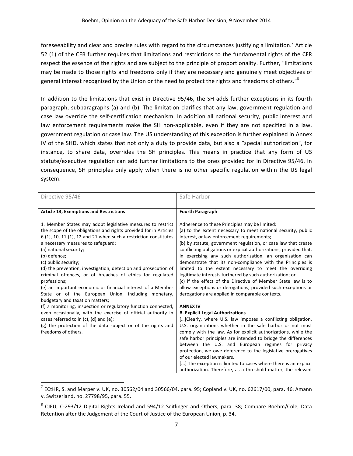foreseeability and clear and precise rules with regard to the circumstances justifying a limitation.<sup>7</sup> Article 52 (1) of the CFR further requires that limitations and restrictions to the fundamental rights of the CFR respect the essence of the rights and are subject to the principle of proportionality. Further, "limitations may be made to those rights and freedoms only if they are necessary and genuinely meet objectives of general interest recognized by the Union or the need to protect the rights and freedoms of others."<sup>8</sup>

In addition to the limitations that exist in Directive 95/46, the SH adds further exceptions in its fourth paragraph, subparagraphs (a) and (b). The limitation clarifies that any law, government regulation and case law override the self-certification mechanism. In addition all national security, public interest and law enforcement requirements make the SH non-applicable, even if they are not specified in a law, government regulation or case law. The US understanding of this exception is further explained in Annex IV of the SHD, which states that not only a duty to provide data, but also a "special authorization", for instance, to share data, overrides the SH principles. This means in practice that any form of US statute/executive regulation can add further limitations to the ones provided for in Directive 95/46. In consequence, SH principles only apply when there is no other specific regulation within the US legal system. 

| Directive 95/46                                                                                                                 | Safe Harbor                                                        |
|---------------------------------------------------------------------------------------------------------------------------------|--------------------------------------------------------------------|
|                                                                                                                                 |                                                                    |
| <b>Article 13, Exemptions and Restrictions</b>                                                                                  | <b>Fourth Paragraph</b>                                            |
|                                                                                                                                 |                                                                    |
| 1. Member States may adopt legislative measures to restrict                                                                     | Adherence to these Principles may be limited:                      |
| the scope of the obligations and rights provided for in Articles                                                                | (a) to the extent necessary to meet national security, public      |
| $6(1)$ , 10, 11 $(1)$ , 12 and 21 when such a restriction constitutes                                                           | interest, or law enforcement requirements;                         |
| a necessary measures to safeguard:                                                                                              | (b) by statute, government regulation, or case law that create     |
| (a) national security;                                                                                                          | conflicting obligations or explicit authorizations, provided that, |
| (b) defence;                                                                                                                    | in exercising any such authorization, an organization can          |
| (c) public security;                                                                                                            | demonstrate that its non-compliance with the Principles is         |
| (d) the prevention, investigation, detection and prosecution of                                                                 | limited to the extent necessary to meet the overriding             |
| criminal offences, or of breaches of ethics for regulated                                                                       | legitimate interests furthered by such authorization; or           |
| professions;                                                                                                                    | (c) if the effect of the Directive of Member State law is to       |
| (e) an important economic or financial interest of a Member                                                                     | allow exceptions or derogations, provided such exceptions or       |
| State or of the European Union, including monetary,                                                                             | derogations are applied in comparable contexts.                    |
| budgetary and taxation matters;                                                                                                 | <b>ANNEX IV</b>                                                    |
| (f) a monitoring, inspection or regulatory function connected,<br>even occasionally, with the exercise of official authority in | <b>B. Explicit Legal Authorizations</b>                            |
| cases referred to in $(c)$ , $(d)$ and $(e)$ ;                                                                                  | [] Clearly, where U.S. law imposes a conflicting obligation,       |
| (g) the protection of the data subject or of the rights and                                                                     | U.S. organizations whether in the safe harbor or not must          |
| freedoms of others.                                                                                                             | comply with the law. As for explicit authorizations, while the     |
|                                                                                                                                 | safe harbor principles are intended to bridge the differences      |
|                                                                                                                                 | between the U.S. and European regimes for privacy                  |
|                                                                                                                                 | protection, we owe deference to the legislative prerogatives       |
|                                                                                                                                 | of our elected lawmakers.                                          |
|                                                                                                                                 | [] The exception is limited to cases where there is an explicit    |
|                                                                                                                                 | authorization. Therefore, as a threshold matter, the relevant      |

 $^7$  ECtHR, S. and Marper v. UK, no. 30562/04 and 30566/04, para. 95; Copland v. UK, no. 62617/00, para. 46; Amann v. Switzerland, no. 27798/95, para. 55.

<u> 1989 - Johann Stein, markin film yn y breninn y breninn y breninn y breninn y breninn y breninn y breninn y b</u>

 $8$  CJEU, C-293/12 Digital Rights Ireland and 594/12 Seitlinger and Others, para. 38; Compare Boehm/Cole, Data Retention after the Judgement of the Court of Justice of the European Union, p. 34.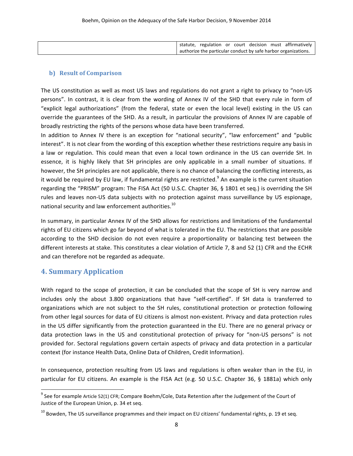|  |  |  | statute, regulation or court decision must affirmatively       |
|--|--|--|----------------------------------------------------------------|
|  |  |  | authorize the particular conduct by safe harbor organizations. |

### **b)** Result of Comparison

The US constitution as well as most US laws and regulations do not grant a right to privacy to "non-US persons". In contrast, it is clear from the wording of Annex IV of the SHD that every rule in form of "explicit legal authorizations" (from the federal, state or even the local level) existing in the US can override the guarantees of the SHD. As a result, in particular the provisions of Annex IV are capable of broadly restricting the rights of the persons whose data have been transferred.

In addition to Annex IV there is an exception for "national security", "law enforcement" and "public interest". It is not clear from the wording of this exception whether these restrictions require any basis in a law or regulation. This could mean that even a local town ordinance in the US can override SH. In essence, it is highly likely that SH principles are only applicable in a small number of situations. If however, the SH principles are not applicable, there is no chance of balancing the conflicting interests, as it would be required by EU law, if fundamental rights are restricted.<sup>9</sup> An example is the current situation regarding the "PRISM" program: The FISA Act (50 U.S.C. Chapter 36, § 1801 et seq.) is overriding the SH rules and leaves non-US data subjects with no protection against mass surveillance by US espionage, national security and law enforcement authorities.<sup>10</sup>

In summary, in particular Annex IV of the SHD allows for restrictions and limitations of the fundamental rights of EU citizens which go far beyond of what is tolerated in the EU. The restrictions that are possible according to the SHD decision do not even require a proportionality or balancing test between the different interests at stake. This constitutes a clear violation of Article 7, 8 and 52 (1) CFR and the ECHR and can therefore not be regarded as adequate.

## **4. Summary Application**

<u> 1989 - Johann Stein, markin film yn y breninn y breninn y breninn y breninn y breninn y breninn y breninn y b</u>

With regard to the scope of protection, it can be concluded that the scope of SH is very narrow and includes only the about 3.800 organizations that have "self-certified". If SH data is transferred to organizations which are not subject to the SH rules, constitutional protection or protection following from other legal sources for data of EU citizens is almost non-existent. Privacy and data protection rules in the US differ significantly from the protection guaranteed in the EU. There are no general privacy or data protection laws in the US and constitutional protection of privacy for "non-US persons" is not provided for. Sectoral regulations govern certain aspects of privacy and data protection in a particular context (for instance Health Data, Online Data of Children, Credit Information).

In consequence, protection resulting from US laws and regulations is often weaker than in the EU, in particular for EU citizens. An example is the FISA Act (e.g. 50 U.S.C. Chapter 36, § 1881a) which only

 $9$  See for example Article 52(1) CFR; Compare Boehm/Cole, Data Retention after the Judgement of the Court of Justice of the European Union, p. 34 et seq.

 $^{10}$  Bowden. The US surveillance programmes and their impact on EU citizens' fundamental rights, p. 19 et seq.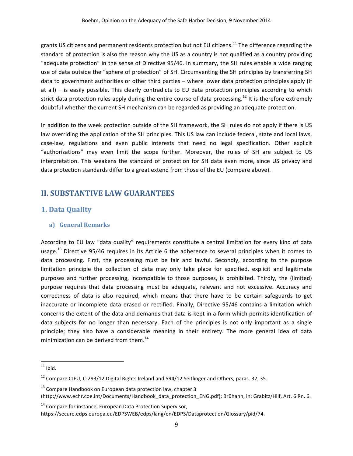grants US citizens and permanent residents protection but not EU citizens.<sup>11</sup> The difference regarding the standard of protection is also the reason why the US as a country is not qualified as a country providing "adequate protection" in the sense of Directive 95/46. In summary, the SH rules enable a wide ranging use of data outside the "sphere of protection" of SH. Circumventing the SH principles by transferring SH data to government authorities or other third parties – where lower data protection principles apply (if at all)  $-$  is easily possible. This clearly contradicts to EU data protection principles according to which strict data protection rules apply during the entire course of data processing.<sup>12</sup> It is therefore extremely doubtful whether the current SH mechanism can be regarded as providing an adequate protection.

In addition to the week protection outside of the SH framework, the SH rules do not apply if there is US law overriding the application of the SH principles. This US law can include federal, state and local laws, case-law, regulations and even public interests that need no legal specification. Other explicit "authorizations" may even limit the scope further. Moreover, the rules of SH are subject to US interpretation. This weakens the standard of protection for SH data even more, since US privacy and data protection standards differ to a great extend from those of the EU (compare above).

## **II. SUBSTANTIVE LAW GUARANTEES**

## **1. Data Quality**

### **a) General Remarks**

 

According to EU law "data quality" requirements constitute a central limitation for every kind of data usage.<sup>13</sup> Directive 95/46 requires in its Article 6 the adherence to several principles when it comes to data processing. First, the processing must be fair and lawful. Secondly, according to the purpose limitation principle the collection of data may only take place for specified, explicit and legitimate purposes and further processing, incompatible to those purposes, is prohibited. Thirdly, the (limited) purpose requires that data processing must be adequate, relevant and not excessive. Accuracy and correctness of data is also required, which means that there have to be certain safeguards to get inaccurate or incomplete data erased or rectified. Finally, Directive 95/46 contains a limitation which concerns the extent of the data and demands that data is kept in a form which permits identification of data subjects for no longer than necessary. Each of the principles is not only important as a single principle; they also have a considerable meaning in their entirety. The more general idea of data minimization can be derived from them. $^{14}$ 

 $14$  Compare for instance, European Data Protection Supervisor,

 $11$  Ibid.

 $12$  Compare CJEU, C-293/12 Digital Rights Ireland and 594/12 Seitlinger and Others, paras. 32, 35.

 $13$  Compare Handbook on European data protection law, chapter 3 (http://www.echr.coe.int/Documents/Handbook\_data\_protection\_ENG.pdf); Brühann, in: Grabitz/Hilf, Art. 6 Rn. 6.

https://secure.edps.europa.eu/EDPSWEB/edps/lang/en/EDPS/Dataprotection/Glossary/pid/74.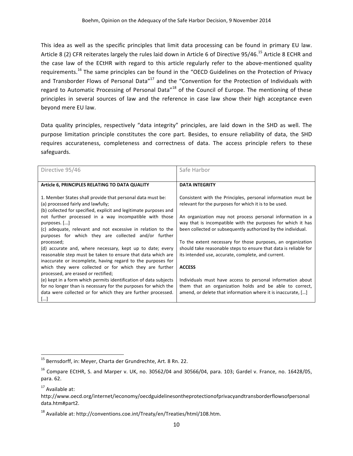This idea as well as the specific principles that limit data processing can be found in primary EU law. Article 8 (2) CFR reiterates largely the rules laid down in Article 6 of Directive 95/46.<sup>15</sup> Article 8 ECHR and the case law of the ECtHR with regard to this article regularly refer to the above-mentioned quality requirements.<sup>16</sup> The same principles can be found in the "OECD Guidelines on the Protection of Privacy and Transborder Flows of Personal Data"<sup>17</sup> and the "Convention for the Protection of Individuals with regard to Automatic Processing of Personal Data"<sup>18</sup> of the Council of Europe. The mentioning of these principles in several sources of law and the reference in case law show their high acceptance even beyond mere EU law.

Data quality principles, respectively "data integrity" principles, are laid down in the SHD as well. The purpose limitation principle constitutes the core part. Besides, to ensure reliability of data, the SHD requires accurateness, completeness and correctness of data. The access principle refers to these safeguards.

| Directive 95/46                                                   | Safe Harbor                                                      |
|-------------------------------------------------------------------|------------------------------------------------------------------|
|                                                                   |                                                                  |
| Article 6, PRINCIPLES RELATING TO DATA QUALITY                    | <b>DATA INTEGRITY</b>                                            |
|                                                                   |                                                                  |
| 1. Member States shall provide that personal data must be:        | Consistent with the Principles, personal information must be     |
| (a) processed fairly and lawfully;                                | relevant for the purposes for which it is to be used.            |
| (b) collected for specified, explicit and legitimate purposes and |                                                                  |
| not further processed in a way incompatible with those            | An organization may not process personal information in a        |
| purposes. []                                                      | way that is incompatible with the purposes for which it has      |
| (c) adequate, relevant and not excessive in relation to the       | been collected or subsequently authorized by the individual.     |
| purposes for which they are collected and/or further              |                                                                  |
| processed;                                                        | To the extent necessary for those purposes, an organization      |
| (d) accurate and, where necessary, kept up to date; every         | should take reasonable steps to ensure that data is reliable for |
| reasonable step must be taken to ensure that data which are       | its intended use, accurate, complete, and current.               |
| inaccurate or incomplete, having regard to the purposes for       |                                                                  |
| which they were collected or for which they are further           | <b>ACCESS</b>                                                    |
| processed, are erased or rectified;                               |                                                                  |
| (e) kept in a form which permits identification of data subjects  | Individuals must have access to personal information about       |
| for no longer than is necessary for the purposes for which the    | them that an organization holds and be able to correct,          |
| data were collected or for which they are further processed.      | amend, or delete that information where it is inaccurate, []     |
| $[]$                                                              |                                                                  |

 

 $15$  Bernsdorff, in: Meyer, Charta der Grundrechte, Art. 8 Rn. 22.

 $^{16}$  Compare ECtHR, S. and Marper v. UK, no. 30562/04 and 30566/04, para. 103; Gardel v. France, no. 16428/05, para. 62.

 $17$  Available at:

http://www.oecd.org/internet/ieconomy/oecdguidelinesontheprotectionofprivacyandtransborderflowsofpersonal data.htm#part2. 

 $18$  Available at: http://conventions.coe.int/Treaty/en/Treaties/html/108.htm.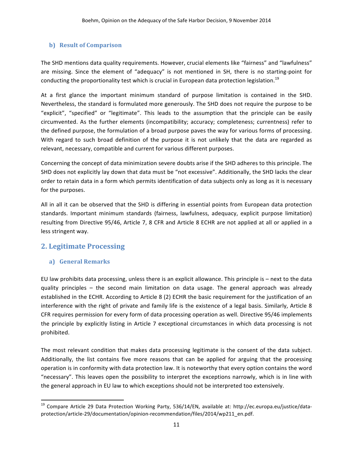### **b)** Result of Comparison

The SHD mentions data quality requirements. However, crucial elements like "fairness" and "lawfulness" are missing. Since the element of "adequacy" is not mentioned in SH, there is no starting-point for conducting the proportionality test which is crucial in European data protection legislation.<sup>19</sup>

At a first glance the important minimum standard of purpose limitation is contained in the SHD. Nevertheless, the standard is formulated more generously. The SHD does not require the purpose to be "explicit", "specified" or "legitimate". This leads to the assumption that the principle can be easily circumvented. As the further elements (incompatibility; accuracy; completeness; currentness) refer to the defined purpose, the formulation of a broad purpose paves the way for various forms of processing. With regard to such broad definition of the purpose it is not unlikely that the data are regarded as relevant, necessary, compatible and current for various different purposes.

Concerning the concept of data minimization severe doubts arise if the SHD adheres to this principle. The SHD does not explicitly lay down that data must be "not excessive". Additionally, the SHD lacks the clear order to retain data in a form which permits identification of data subjects only as long as it is necessary for the purposes.

All in all it can be observed that the SHD is differing in essential points from European data protection standards. Important minimum standards (fairness, lawfulness, adequacy, explicit purpose limitation) resulting from Directive 95/46, Article 7, 8 CFR and Article 8 ECHR are not applied at all or applied in a less stringent way.

## **2. Legitimate Processing**

### **a) General Remarks**

<u> 1989 - Johann Stein, markin film yn y breninn y breninn y breninn y breninn y breninn y breninn y breninn y b</u>

EU law prohibits data processing, unless there is an explicit allowance. This principle is  $-$  next to the data quality principles – the second main limitation on data usage. The general approach was already established in the ECHR. According to Article 8 (2) ECHR the basic requirement for the justification of an interference with the right of private and family life is the existence of a legal basis. Similarly, Article 8 CFR requires permission for every form of data processing operation as well. Directive 95/46 implements the principle by explicitly listing in Article 7 exceptional circumstances in which data processing is not prohibited. 

The most relevant condition that makes data processing legitimate is the consent of the data subject. Additionally, the list contains five more reasons that can be applied for arguing that the processing operation is in conformity with data protection law. It is noteworthy that every option contains the word "necessary". This leaves open the possibility to interpret the exceptions narrowly, which is in line with the general approach in EU law to which exceptions should not be interpreted too extensively.

<sup>&</sup>lt;sup>19</sup> Compare Article 29 Data Protection Working Party, 536/14/EN, available at: http://ec.europa.eu/justice/dataprotection/article-29/documentation/opinion-recommendation/files/2014/wp211\_en.pdf.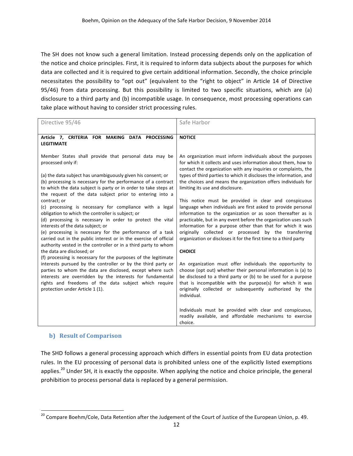The SH does not know such a general limitation. Instead processing depends only on the application of the notice and choice principles. First, it is required to inform data subjects about the purposes for which data are collected and it is required to give certain additional information. Secondly, the choice principle necessitates the possibility to "opt out" (equivalent to the "right to object" in Article 14 of Directive 95/46) from data processing. But this possibility is limited to two specific situations, which are (a) disclosure to a third party and (b) incompatible usage. In consequence, most processing operations can take place without having to consider strict processing rules.

| Directive 95/46                                                                                                                                                                                                                                                                                                                                                                                                                                                                                                                                                                                                                                                                                                                                                                                                                                                                                                                                                                                                                                                                                                                                                         | Safe Harbor                                                                                                                                                                                                                                                                                                                                                                                                                                                                                                                                                                                                                                                                                                                                                                                                                                                                                                                                                                                                                                                                                                                                                           |  |
|-------------------------------------------------------------------------------------------------------------------------------------------------------------------------------------------------------------------------------------------------------------------------------------------------------------------------------------------------------------------------------------------------------------------------------------------------------------------------------------------------------------------------------------------------------------------------------------------------------------------------------------------------------------------------------------------------------------------------------------------------------------------------------------------------------------------------------------------------------------------------------------------------------------------------------------------------------------------------------------------------------------------------------------------------------------------------------------------------------------------------------------------------------------------------|-----------------------------------------------------------------------------------------------------------------------------------------------------------------------------------------------------------------------------------------------------------------------------------------------------------------------------------------------------------------------------------------------------------------------------------------------------------------------------------------------------------------------------------------------------------------------------------------------------------------------------------------------------------------------------------------------------------------------------------------------------------------------------------------------------------------------------------------------------------------------------------------------------------------------------------------------------------------------------------------------------------------------------------------------------------------------------------------------------------------------------------------------------------------------|--|
| Article 7, CRITERIA FOR MAKING DATA PROCESSING<br><b>LEGITIMATE</b>                                                                                                                                                                                                                                                                                                                                                                                                                                                                                                                                                                                                                                                                                                                                                                                                                                                                                                                                                                                                                                                                                                     | <b>NOTICE</b>                                                                                                                                                                                                                                                                                                                                                                                                                                                                                                                                                                                                                                                                                                                                                                                                                                                                                                                                                                                                                                                                                                                                                         |  |
| Member States shall provide that personal data may be<br>processed only if:<br>(a) the data subject has unambiguously given his consent; or<br>(b) processing is necessary for the performance of a contract<br>to which the data subject is party or in order to take steps at<br>the request of the data subject prior to entering into a<br>contract; or<br>(c) processing is necessary for compliance with a legal<br>obligation to which the controller is subject; or<br>(d) processing is necessary in order to protect the vital<br>interests of the data subject; or<br>(e) processing is necessary for the performance of a task<br>carried out in the public interest or in the exercise of official<br>authority vested in the controller or in a third party to whom<br>the data are disclosed; or<br>(f) processing is necessary for the purposes of the legitimate<br>interests pursued by the controller or by the third party or<br>parties to whom the data are disclosed, except where such<br>interests are overridden by the interests for fundamental<br>rights and freedoms of the data subject which require<br>protection under Article 1 (1). | An organization must inform individuals about the purposes<br>for which it collects and uses information about them, how to<br>contact the organization with any inquiries or complaints, the<br>types of third parties to which it discloses the information, and<br>the choices and means the organization offers individuals for<br>limiting its use and disclosure.<br>This notice must be provided in clear and conspicuous<br>language when individuals are first asked to provide personal<br>information to the organization or as soon thereafter as is<br>practicable, but in any event before the organization uses such<br>information for a purpose other than that for which it was<br>originally collected or processed by the transferring<br>organization or discloses it for the first time to a third party<br><b>CHOICE</b><br>An organization must offer individuals the opportunity to<br>choose (opt out) whether their personal information is (a) to<br>be disclosed to a third party or (b) to be used for a purpose<br>that is incompatible with the purpose(s) for which it was<br>originally collected or subsequently authorized by the |  |
|                                                                                                                                                                                                                                                                                                                                                                                                                                                                                                                                                                                                                                                                                                                                                                                                                                                                                                                                                                                                                                                                                                                                                                         | individual.<br>Individuals must be provided with clear and conspicuous,<br>readily available, and affordable mechanisms to exercise<br>choice.                                                                                                                                                                                                                                                                                                                                                                                                                                                                                                                                                                                                                                                                                                                                                                                                                                                                                                                                                                                                                        |  |

### **b)** Result of Comparison

<u> 1989 - Johann Stein, markin film yn y breninn y breninn y breninn y breninn y breninn y breninn y breninn y b</u>

The SHD follows a general processing approach which differs in essential points from EU data protection rules. In the EU processing of personal data is prohibited unless one of the explicitly listed exemptions applies.<sup>20</sup> Under SH, it is exactly the opposite. When applying the notice and choice principle, the general prohibition to process personal data is replaced by a general permission.

 $^{20}$  Compare Boehm/Cole, Data Retention after the Judgement of the Court of Justice of the European Union, p. 49.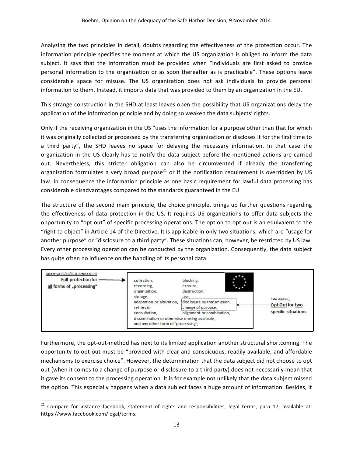Analyzing the two principles in detail, doubts regarding the effectiveness of the protection occur. The information principle specifies the moment at which the US organization is obliged to inform the data subject. It says that the information must be provided when "individuals are first asked to provide personal information to the organization or as soon thereafter as is practicable". These options leave considerable space for misuse. The US organization does not ask individuals to provide personal information to them. Instead, it imports data that was provided to them by an organization in the EU.

This strange construction in the SHD at least leaves open the possibility that US organizations delay the application of the information principle and by doing so weaken the data subjects' rights.

Only if the receiving organization in the US "uses the information for a purpose other than that for which it was originally collected or processed by the transferring organization or discloses it for the first time to a third party", the SHD leaves no space for delaying the necessary information. In that case the organization in the US clearly has to notify the data subject before the mentioned actions are carried out. Nevertheless, this stricter obligation can also be circumvented if already the transferring organization formulates a very broad purpose<sup>21</sup> or if the notification requirement is overridden by US law. In consequence the information principle as one basic requirement for lawful data processing has considerable disadvantages compared to the standards guaranteed in the EU.

The structure of the second main principle, the choice principle, brings up further questions regarding the effectiveness of data protection in the US. It requires US organizations to offer data subjects the opportunity to "opt out" of specific processing operations. The option to opt out is an equivalent to the "right to object" in Article 14 of the Directive. It is applicable in only two situations, which are "usage for another purpose" or "disclosure to a third party". These situations can, however, be restricted by US law. Every other processing operation can be conducted by the organization. Consequently, the data subject has quite often no influence on the handling of its personal data.

| Directive 95/46/EC & Article 8 CFR<br><b>Full protection for</b><br>all forms of "processing" | collection,<br>recording.<br>organization,<br>storage,<br>adaptation or alteration,<br>retrieval.<br>consultation.<br>dissemination or otherwise making available,<br>and any other form of "processing"; | blocking.<br>erasure,<br>destruction;<br>use.<br>disclosure by transmission,<br>change of purpose,<br>alignment or combination. | $\star$ +<br>--------- | Safe Harbor:<br>- Opt Out for two<br>specific situations |
|-----------------------------------------------------------------------------------------------|-----------------------------------------------------------------------------------------------------------------------------------------------------------------------------------------------------------|---------------------------------------------------------------------------------------------------------------------------------|------------------------|----------------------------------------------------------|
|                                                                                               |                                                                                                                                                                                                           |                                                                                                                                 |                        |                                                          |

Furthermore, the opt-out-method has next to its limited application another structural shortcoming. The opportunity to opt out must be "provided with clear and conspicuous, readily available, and affordable mechanisms to exercise choice". However, the determination that the data subject did not choose to opt out (when it comes to a change of purpose or disclosure to a third party) does not necessarily mean that it gave its consent to the processing operation. It is for example not unlikely that the data subject missed the option. This especially happens when a data subject faces a huge amount of information. Besides, it

<u> 1989 - Johann Stein, markin film yn y breninn y breninn y breninn y breninn y breninn y breninn y breninn y b</u>

 $21$  Compare for instance facebook, statement of rights and responsibilities, legal terms, para 17, available at: https://www.facebook.com/legal/terms.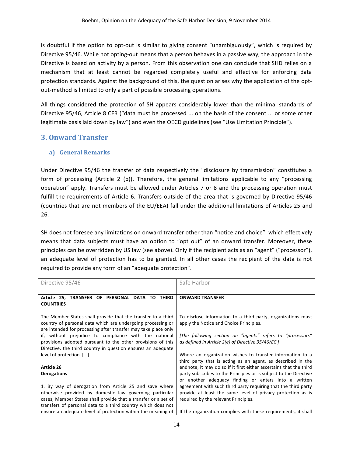is doubtful if the option to opt-out is similar to giving consent "unambiguously", which is required by Directive 95/46. While not opting-out means that a person behaves in a passive way, the approach in the Directive is based on activity by a person. From this observation one can conclude that SHD relies on a mechanism that at least cannot be regarded completely useful and effective for enforcing data protection standards. Against the background of this, the question arises why the application of the optout-method is limited to only a part of possible processing operations.

All things considered the protection of SH appears considerably lower than the minimal standards of Directive 95/46, Article 8 CFR ("data must be processed ... on the basis of the consent ... or some other legitimate basis laid down by law") and even the OECD guidelines (see "Use Limitation Principle").

## **3. Onward Transfer**

### **a) General Remarks**

Under Directive 95/46 the transfer of data respectively the "disclosure by transmission" constitutes a form of processing (Article 2 (b)). Therefore, the general limitations applicable to any "processing operation" apply. Transfers must be allowed under Articles 7 or 8 and the processing operation must fulfill the requirements of Article 6. Transfers outside of the area that is governed by Directive 95/46 (countries that are not members of the EU/EEA) fall under the additional limitations of Articles 25 and 26.

SH does not foresee any limitations on onward transfer other than "notice and choice", which effectively means that data subjects must have an option to "opt out" of an onward transfer. Moreover, these principles can be overridden by US law (see above). Only if the recipient acts as an "agent" ("processor"), an adequate level of protection has to be granted. In all other cases the recipient of the data is not required to provide any form of an "adequate protection".

| Directive 95/46                                                                                                                                                                                                                                     | Safe Harbor                                                                                                                                                                                     |  |  |
|-----------------------------------------------------------------------------------------------------------------------------------------------------------------------------------------------------------------------------------------------------|-------------------------------------------------------------------------------------------------------------------------------------------------------------------------------------------------|--|--|
| Article 25. TRANSFER OF PERSONAL DATA<br><b>THIRD</b><br>TO.<br><b>COUNTRIES</b>                                                                                                                                                                    | <b>ONWARD TRANSFER</b>                                                                                                                                                                          |  |  |
| The Member States shall provide that the transfer to a third<br>country of personal data which are undergoing processing or<br>are intended for processing after transfer may take place only                                                       | To disclose information to a third party, organizations must<br>apply the Notice and Choice Principles.                                                                                         |  |  |
| if, without prejudice to compliance with the national<br>provisions adopted pursuant to the other provisions of this<br>Directive, the third country in question ensures an adequate                                                                | [The following section on "agents" refers to "processors"<br>as defined in Article 2(e) of Directive 95/46/EC ]                                                                                 |  |  |
| level of protection. []                                                                                                                                                                                                                             | Where an organization wishes to transfer information to a<br>third party that is acting as an agent, as described in the                                                                        |  |  |
| Article 26<br><b>Derogations</b>                                                                                                                                                                                                                    | endnote, it may do so if it first either ascertains that the third<br>party subscribes to the Principles or is subject to the Directive<br>or another adequacy finding or enters into a written |  |  |
| 1. By way of derogation from Article 25 and save where<br>otherwise provided by domestic law governing particular<br>cases, Member States shall provide that a transfer or a set of<br>transfers of personal data to a third country which does not | agreement with such third party requiring that the third party<br>provide at least the same level of privacy protection as is<br>required by the relevant Principles.                           |  |  |
| ensure an adequate level of protection within the meaning of                                                                                                                                                                                        | If the organization complies with these requirements, it shall                                                                                                                                  |  |  |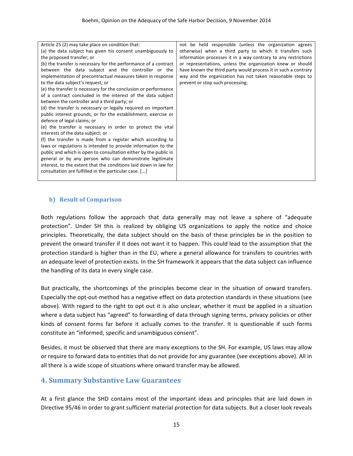| Article 25 (2) may take place on condition that:<br>(a) the data subject has given his consent unambiguously to<br>the proposed transfer; or<br>(b) the transfer is necessary for the performance of a contract<br>between the data subject and the controller or the<br>implementation of precontractual measures taken in response<br>to the data subject's request; or<br>(e) the transfer is necessary for the conclusion or performance<br>of a contract concluded in the interest of the data subject<br>between the controller and a third party; or<br>(d) the transfer is necessary or legally required on important<br>public interest grounds, or for the establishment, exercise or<br>defence of legal claims; or<br>(e) the transfer is necessary in order to protect the vital<br>interests of the data subject; or<br>(f) the transfer is made from a register which according to<br>laws or regulations is intended to provide information to the<br>public and which is open to consultation either by the public in<br>general or by any person who can demonstrate legitimate<br>interest, to the extent that the conditions laid down in law for<br>consultation are fulfilled in the particular case. [] | not be held responsible (unless the organization agrees<br>otherwise) when a third party to which it transfers such<br>information processes it in a way contrary to any restrictions<br>or representations, unless the organization knew or should<br>have known the third party would process it in such a contrary<br>way and the organization has not taken reasonable steps to<br>prevent or stop such processing. |
|--------------------------------------------------------------------------------------------------------------------------------------------------------------------------------------------------------------------------------------------------------------------------------------------------------------------------------------------------------------------------------------------------------------------------------------------------------------------------------------------------------------------------------------------------------------------------------------------------------------------------------------------------------------------------------------------------------------------------------------------------------------------------------------------------------------------------------------------------------------------------------------------------------------------------------------------------------------------------------------------------------------------------------------------------------------------------------------------------------------------------------------------------------------------------------------------------------------------------------|-------------------------------------------------------------------------------------------------------------------------------------------------------------------------------------------------------------------------------------------------------------------------------------------------------------------------------------------------------------------------------------------------------------------------|
|--------------------------------------------------------------------------------------------------------------------------------------------------------------------------------------------------------------------------------------------------------------------------------------------------------------------------------------------------------------------------------------------------------------------------------------------------------------------------------------------------------------------------------------------------------------------------------------------------------------------------------------------------------------------------------------------------------------------------------------------------------------------------------------------------------------------------------------------------------------------------------------------------------------------------------------------------------------------------------------------------------------------------------------------------------------------------------------------------------------------------------------------------------------------------------------------------------------------------------|-------------------------------------------------------------------------------------------------------------------------------------------------------------------------------------------------------------------------------------------------------------------------------------------------------------------------------------------------------------------------------------------------------------------------|

#### **b)** Result of Comparison

Both regulations follow the approach that data generally may not leave a sphere of "adequate protection". Under SH this is realized by obliging US organizations to apply the notice and choice principles. Theoretically, the data subject should on the basis of these principles be in the position to prevent the onward transfer if it does not want it to happen. This could lead to the assumption that the protection standard is higher than in the EU, where a general allowance for transfers to countries with an adequate level of protection exists. In the SH framework it appears that the data subject can influence the handling of its data in every single case.

But practically, the shortcomings of the principles become clear in the situation of onward transfers. Especially the opt-out-method has a negative effect on data protection standards in these situations (see above). With regard to the right to opt out it is also unclear, whether it must be applied in a situation where a data subject has "agreed" to forwarding of data through signing terms, privacy policies or other kinds of consent forms far before it actually comes to the transfer. It is questionable if such forms constitute an "informed, specific and unambiguous consent".

Besides, it must be observed that there are many exceptions to the SH. For example, US laws may allow or require to forward data to entities that do not provide for any guarantee (see exceptions above). All in all there is a wide scope of situations where onward transfer may be allowed.

## **4. Summary Substantive Law Guarantees**

At a first glance the SHD contains most of the important ideas and principles that are laid down in Directive 95/46 in order to grant sufficient material protection for data subjects. But a closer look reveals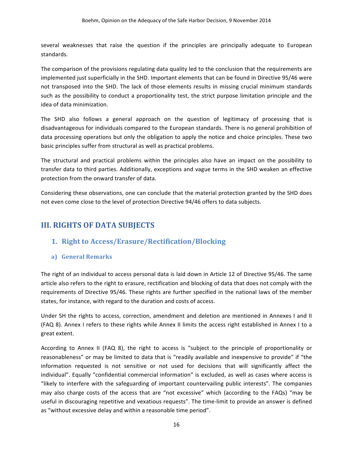several weaknesses that raise the question if the principles are principally adequate to European standards. 

The comparison of the provisions regulating data quality led to the conclusion that the requirements are implemented just superficially in the SHD. Important elements that can be found in Directive 95/46 were not transposed into the SHD. The lack of those elements results in missing crucial minimum standards such as the possibility to conduct a proportionality test, the strict purpose limitation principle and the idea of data minimization.

The SHD also follows a general approach on the question of legitimacy of processing that is disadvantageous for individuals compared to the European standards. There is no general prohibition of data processing operations but only the obligation to apply the notice and choice principles. These two basic principles suffer from structural as well as practical problems.

The structural and practical problems within the principles also have an impact on the possibility to transfer data to third parties. Additionally, exceptions and vague terms in the SHD weaken an effective protection from the onward transfer of data.

Considering these observations, one can conclude that the material protection granted by the SHD does not even come close to the level of protection Directive 94/46 offers to data subjects.

## **III. RIGHTS OF DATA SUBJECTS**

## **1. Right to Access/Erasure/Rectification/Blocking**

## **a) General Remarks**

The right of an individual to access personal data is laid down in Article 12 of Directive 95/46. The same article also refers to the right to erasure, rectification and blocking of data that does not comply with the requirements of Directive 95/46. These rights are further specified in the national laws of the member states, for instance, with regard to the duration and costs of access.

Under SH the rights to access, correction, amendment and deletion are mentioned in Annexes I and II (FAQ 8). Annex I refers to these rights while Annex II limits the access right established in Annex I to a great extent.

According to Annex II (FAQ 8), the right to access is "subject to the principle of proportionality or reasonableness" or may be limited to data that is "readily available and inexpensive to provide" if "the information requested is not sensitive or not used for decisions that will significantly affect the individual". Equally "confidential commercial information" is excluded, as well as cases where access is "likely to interfere with the safeguarding of important countervailing public interests". The companies may also charge costs of the access that are "not excessive" which (according to the FAQs) "may be useful in discouraging repetitive and vexatious requests". The time-limit to provide an answer is defined as "without excessive delay and within a reasonable time period".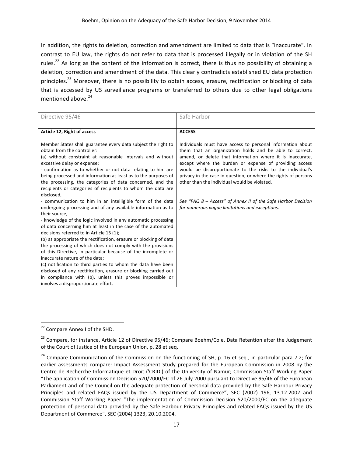In addition, the rights to deletion, correction and amendment are limited to data that is "inaccurate". In contrast to EU law, the rights do not refer to data that is processed illegally or in violation of the SH rules.<sup>22</sup> As long as the content of the information is correct, there is thus no possibility of obtaining a deletion, correction and amendment of the data. This clearly contradicts established EU data protection principles.<sup>23</sup> Moreover, there is no possibility to obtain access, erasure, rectification or blocking of data that is accessed by US surveillance programs or transferred to others due to other legal obligations mentioned above.<sup>24</sup>

| Directive 95/46                                                                                                                                                                                                                                                                                                                                                                                                                                                       | Safe Harbor                                                                                                                                                                                                                                                                                                                                                                                                                   |
|-----------------------------------------------------------------------------------------------------------------------------------------------------------------------------------------------------------------------------------------------------------------------------------------------------------------------------------------------------------------------------------------------------------------------------------------------------------------------|-------------------------------------------------------------------------------------------------------------------------------------------------------------------------------------------------------------------------------------------------------------------------------------------------------------------------------------------------------------------------------------------------------------------------------|
|                                                                                                                                                                                                                                                                                                                                                                                                                                                                       |                                                                                                                                                                                                                                                                                                                                                                                                                               |
| Article 12, Right of access                                                                                                                                                                                                                                                                                                                                                                                                                                           | <b>ACCESS</b>                                                                                                                                                                                                                                                                                                                                                                                                                 |
| Member States shall guarantee every data subject the right to<br>obtain from the controller:<br>(a) without constraint at reasonable intervals and without<br>excessive delay or expense:<br>- confirmation as to whether or not data relating to him are<br>being processed and information at least as to the purposes of<br>the processing, the categories of data concerned, and the<br>recipients or categories of recipients to whom the data are<br>disclosed, | Individuals must have access to personal information about<br>them that an organization holds and be able to correct,<br>amend, or delete that information where it is inaccurate,<br>except where the burden or expense of providing access<br>would be disproportionate to the risks to the individual's<br>privacy in the case in question, or where the rights of persons<br>other than the individual would be violated. |
| - communication to him in an intelligible form of the data                                                                                                                                                                                                                                                                                                                                                                                                            | See "FAQ 8 - Access" of Annex II of the Safe Harbor Decision<br>for numerous vaque limitations and exceptions.                                                                                                                                                                                                                                                                                                                |
| undergoing processing and of any available information as to<br>their source,                                                                                                                                                                                                                                                                                                                                                                                         |                                                                                                                                                                                                                                                                                                                                                                                                                               |
| - knowledge of the logic involved in any automatic processing<br>of data concerning him at least in the case of the automated<br>decisions referred to in Article 15 (1);                                                                                                                                                                                                                                                                                             |                                                                                                                                                                                                                                                                                                                                                                                                                               |
| (b) as appropriate the rectification, erasure or blocking of data                                                                                                                                                                                                                                                                                                                                                                                                     |                                                                                                                                                                                                                                                                                                                                                                                                                               |
| the processing of which does not comply with the provisions<br>of this Directive, in particular because of the incomplete or                                                                                                                                                                                                                                                                                                                                          |                                                                                                                                                                                                                                                                                                                                                                                                                               |
| inaccurate nature of the data;                                                                                                                                                                                                                                                                                                                                                                                                                                        |                                                                                                                                                                                                                                                                                                                                                                                                                               |
| (c) notification to third parties to whom the data have been                                                                                                                                                                                                                                                                                                                                                                                                          |                                                                                                                                                                                                                                                                                                                                                                                                                               |
| disclosed of any rectification, erasure or blocking carried out                                                                                                                                                                                                                                                                                                                                                                                                       |                                                                                                                                                                                                                                                                                                                                                                                                                               |
| in compliance with (b), unless this proves impossible or                                                                                                                                                                                                                                                                                                                                                                                                              |                                                                                                                                                                                                                                                                                                                                                                                                                               |
| involves a disproportionate effort.                                                                                                                                                                                                                                                                                                                                                                                                                                   |                                                                                                                                                                                                                                                                                                                                                                                                                               |

<u> 1989 - Johann Stein, markin film yn y breninn y breninn y breninn y breninn y breninn y breninn y breninn y b</u>

<sup>&</sup>lt;sup>22</sup> Compare Annex I of the SHD.

<sup>&</sup>lt;sup>23</sup> Compare, for instance, Article 12 of Directive 95/46; Compare Boehm/Cole, Data Retention after the Judgement of the Court of Justice of the European Union, p. 28 et seq.

 $24$  Compare Communication of the Commission on the functioning of SH, p. 16 et seq., in particular para 7.2; for earlier assessments compare: Impact Assessment Study prepared for the European Commission in 2008 by the Centre de Recherche Informatique et Droit ('CRID') of the University of Namur; Commission Staff Working Paper "The application of Commission Decision 520/2000/EC of 26 July 2000 pursuant to Directive 95/46 of the European Parliament and of the Council on the adequate protection of personal data provided by the Safe Harbour Privacy Principles and related FAQs issued by the US Department of Commerce", SEC (2002) 196, 13.12.2002 and Commission Staff Working Paper "The implementation of Commission Decision 520/2000/EC on the adequate protection of personal data provided by the Safe Harbour Privacy Principles and related FAQs issued by the US Department of Commerce", SEC (2004) 1323, 20.10.2004.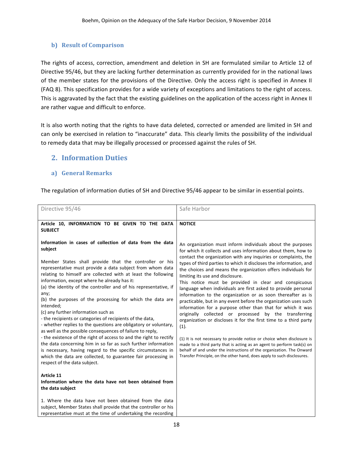## **b)** Result of Comparison

The rights of access, correction, amendment and deletion in SH are formulated similar to Article 12 of Directive 95/46, but they are lacking further determination as currently provided for in the national laws of the member states for the provisions of the Directive. Only the access right is specified in Annex II (FAQ 8). This specification provides for a wide variety of exceptions and limitations to the right of access. This is aggravated by the fact that the existing guidelines on the application of the access right in Annex II are rather vague and difficult to enforce.

It is also worth noting that the rights to have data deleted, corrected or amended are limited in SH and can only be exercised in relation to "inaccurate" data. This clearly limits the possibility of the individual to remedy data that may be illegally processed or processed against the rules of SH.

## **2. Information Duties**

### **a) General Remarks**

The regulation of information duties of SH and Directive 95/46 appear to be similar in essential points.

| Directive 95/46                                                                                                                                                                                                                                                                                                                                                                                                                                                                                                                                                                                                                                                                                                                                                                                                                                                                                                                                   | Safe Harbor                                                                                                                                                                                                                                                                                                                                                                                                                                                                                                                                                                                                                                                                                                                                                                                                                                                                                                                                                                                                                                                                    |
|---------------------------------------------------------------------------------------------------------------------------------------------------------------------------------------------------------------------------------------------------------------------------------------------------------------------------------------------------------------------------------------------------------------------------------------------------------------------------------------------------------------------------------------------------------------------------------------------------------------------------------------------------------------------------------------------------------------------------------------------------------------------------------------------------------------------------------------------------------------------------------------------------------------------------------------------------|--------------------------------------------------------------------------------------------------------------------------------------------------------------------------------------------------------------------------------------------------------------------------------------------------------------------------------------------------------------------------------------------------------------------------------------------------------------------------------------------------------------------------------------------------------------------------------------------------------------------------------------------------------------------------------------------------------------------------------------------------------------------------------------------------------------------------------------------------------------------------------------------------------------------------------------------------------------------------------------------------------------------------------------------------------------------------------|
|                                                                                                                                                                                                                                                                                                                                                                                                                                                                                                                                                                                                                                                                                                                                                                                                                                                                                                                                                   |                                                                                                                                                                                                                                                                                                                                                                                                                                                                                                                                                                                                                                                                                                                                                                                                                                                                                                                                                                                                                                                                                |
| Article 10, INFORMATION TO BE GIVEN TO THE DATA<br><b>SUBJECT</b><br>Information in cases of collection of data from the data                                                                                                                                                                                                                                                                                                                                                                                                                                                                                                                                                                                                                                                                                                                                                                                                                     | <b>NOTICE</b><br>An organization must inform individuals about the purposes                                                                                                                                                                                                                                                                                                                                                                                                                                                                                                                                                                                                                                                                                                                                                                                                                                                                                                                                                                                                    |
| subject<br>Member States shall provide that the controller or his<br>representative must provide a data subject from whom data<br>relating to himself are collected with at least the following<br>information, except where he already has it:<br>(a) the identity of the controller and of his representative, if<br>any;<br>(b) the purposes of the processing for which the data are<br>intended;<br>(c) any further information such as<br>- the recipients or categories of recipients of the data,<br>- whether replies to the questions are obligatory or voluntary,<br>as well as the possible consequences of failure to reply,<br>- the existence of the right of access to and the right to rectify<br>the data concerning him in so far as such further information<br>is necessary, having regard to the specific circumstances in<br>which the data are collected, to guarantee fair processing in<br>respect of the data subject. | for which it collects and uses information about them, how to<br>contact the organization with any inquiries or complaints, the<br>types of third parties to which it discloses the information, and<br>the choices and means the organization offers individuals for<br>limiting its use and disclosure.<br>This notice must be provided in clear and conspicuous<br>language when individuals are first asked to provide personal<br>information to the organization or as soon thereafter as is<br>practicable, but in any event before the organization uses such<br>information for a purpose other than that for which it was<br>originally collected or processed by the transferring<br>organization or discloses it for the first time to a third party<br>(1).<br>(1) It is not necessary to provide notice or choice when disclosure is<br>made to a third party that is acting as an agent to perform task(s) on<br>behalf of and under the instructions of the organization. The Onward<br>Transfer Principle, on the other hand, does apply to such disclosures. |
| Article 11<br>Information where the data have not been obtained from<br>the data subject                                                                                                                                                                                                                                                                                                                                                                                                                                                                                                                                                                                                                                                                                                                                                                                                                                                          |                                                                                                                                                                                                                                                                                                                                                                                                                                                                                                                                                                                                                                                                                                                                                                                                                                                                                                                                                                                                                                                                                |
| 1. Where the data have not been obtained from the data<br>subject, Member States shall provide that the controller or his<br>representative must at the time of undertaking the recording                                                                                                                                                                                                                                                                                                                                                                                                                                                                                                                                                                                                                                                                                                                                                         |                                                                                                                                                                                                                                                                                                                                                                                                                                                                                                                                                                                                                                                                                                                                                                                                                                                                                                                                                                                                                                                                                |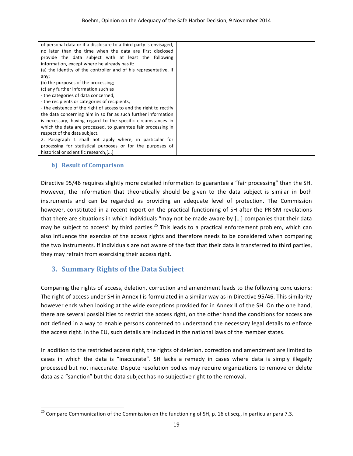| of personal data or if a disclosure to a third party is envisaged, |  |
|--------------------------------------------------------------------|--|
| no later than the time when the data are first disclosed           |  |
| provide the data subject with at least the following               |  |
| information, except where he already has it:                       |  |
| (a) the identity of the controller and of his representative, if   |  |
| any;                                                               |  |
| (b) the purposes of the processing;                                |  |
| (c) any further information such as                                |  |
| - the categories of data concerned,                                |  |
| - the recipients or categories of recipients,                      |  |
| - the existence of the right of access to and the right to rectify |  |
| the data concerning him in so far as such further information      |  |
| is necessary, having regard to the specific circumstances in       |  |
| which the data are processed, to guarantee fair processing in      |  |
| respect of the data subject.                                       |  |
| 2. Paragraph 1 shall not apply where, in particular for            |  |
| processing for statistical purposes or for the purposes of         |  |
| historical or scientific research,[]                               |  |

#### **b)** Result of Comparison

<u> 1989 - Johann Stein, markin film yn y breninn y breninn y breninn y breninn y breninn y breninn y breninn y b</u>

Directive 95/46 requires slightly more detailed information to guarantee a "fair processing" than the SH. However, the information that theoretically should be given to the data subject is similar in both instruments and can be regarded as providing an adequate level of protection. The Commission however, constituted in a recent report on the practical functioning of SH after the PRISM revelations that there are situations in which individuals "may not be made aware by [...] companies that their data may be subject to access" by third parties.<sup>25</sup> This leads to a practical enforcement problem, which can also influence the exercise of the access rights and therefore needs to be considered when comparing the two instruments. If individuals are not aware of the fact that their data is transferred to third parties, they may refrain from exercising their access right.

## **3. Summary Rights of the Data Subject**

Comparing the rights of access, deletion, correction and amendment leads to the following conclusions: The right of access under SH in Annex I is formulated in a similar way as in Directive 95/46. This similarity however ends when looking at the wide exceptions provided for in Annex II of the SH. On the one hand, there are several possibilities to restrict the access right, on the other hand the conditions for access are not defined in a way to enable persons concerned to understand the necessary legal details to enforce the access right. In the EU, such details are included in the national laws of the member states.

In addition to the restricted access right, the rights of deletion, correction and amendment are limited to cases in which the data is "inaccurate". SH lacks a remedy in cases where data is simply illegally processed but not inaccurate. Dispute resolution bodies may require organizations to remove or delete data as a "sanction" but the data subject has no subjective right to the removal.

<sup>&</sup>lt;sup>25</sup> Compare Communication of the Commission on the functioning of SH, p. 16 et seq., in particular para 7.3.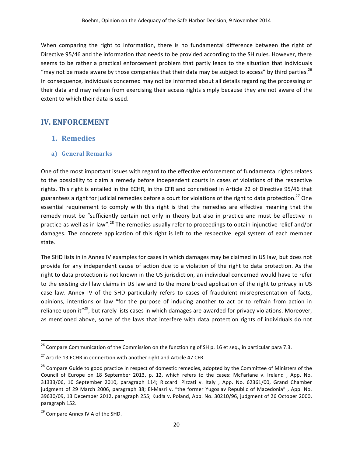When comparing the right to information, there is no fundamental difference between the right of Directive 95/46 and the information that needs to be provided according to the SH rules. However, there seems to be rather a practical enforcement problem that partly leads to the situation that individuals "may not be made aware by those companies that their data may be subject to access" by third parties.<sup>26</sup> In consequence, individuals concerned may not be informed about all details regarding the processing of their data and may refrain from exercising their access rights simply because they are not aware of the extent to which their data is used.

## **IV. ENFORCEMENT**

## **1. Remedies**

### **a) General Remarks**

One of the most important issues with regard to the effective enforcement of fundamental rights relates to the possibility to claim a remedy before independent courts in cases of violations of the respective rights. This right is entailed in the ECHR, in the CFR and concretized in Article 22 of Directive 95/46 that guarantees a right for judicial remedies before a court for violations of the right to data protection.<sup>27</sup> One essential requirement to comply with this right is that the remedies are effective meaning that the remedy must be "sufficiently certain not only in theory but also in practice and must be effective in practice as well as in law".<sup>28</sup> The remedies usually refer to proceedings to obtain injunctive relief and/or damages. The concrete application of this right is left to the respective legal system of each member state.

The SHD lists in in Annex IV examples for cases in which damages may be claimed in US law, but does not provide for any independent cause of action due to a violation of the right to data protection. As the right to data protection is not known in the US jurisdiction, an individual concerned would have to refer to the existing civil law claims in US law and to the more broad application of the right to privacy in US case law. Annex IV of the SHD particularly refers to cases of fraudulent misrepresentation of facts, opinions, intentions or law "for the purpose of inducing another to act or to refrain from action in reliance upon it"<sup>29</sup>, but rarely lists cases in which damages are awarded for privacy violations. Moreover, as mentioned above, some of the laws that interfere with data protection rights of individuals do not

<u> 1989 - Johann Stein, markin film yn y breninn y breninn y breninn y breninn y breninn y breninn y breninn y b</u>

<sup>&</sup>lt;sup>26</sup> Compare Communication of the Commission on the functioning of SH p. 16 et seq., in particular para 7.3.

<sup>&</sup>lt;sup>27</sup> Article 13 ECHR in connection with another right and Article 47 CFR.

<sup>&</sup>lt;sup>28</sup> Compare Guide to good practice in respect of domestic remedies, adopted by the Committee of Ministers of the Council of Europe on 18 September 2013, p. 12, which refers to the cases: McFarlane v. Ireland, App. No. 31333/06, 10 September 2010, paragraph 114; Riccardi Pizzati v. Italy , App. No. 62361/00, Grand Chamber judgment of 29 March 2006, paragraph 38; El-Masri v. "the former Yugoslav Republic of Macedonia", App. No. 39630/09, 13 December 2012, paragraph 255; Kudła v. Poland, App. No. 30210/96, judgment of 26 October 2000, paragraph 152.

 $29$  Compare Annex IV A of the SHD.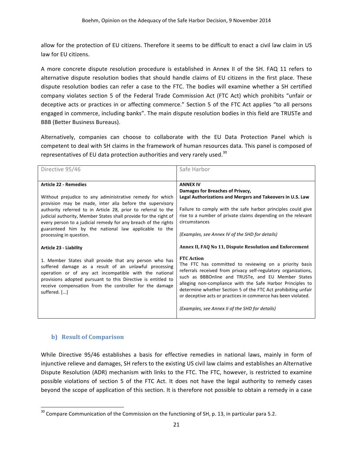allow for the protection of EU citizens. Therefore it seems to be difficult to enact a civil law claim in US law for EU citizens.

A more concrete dispute resolution procedure is established in Annex II of the SH. FAQ 11 refers to alternative dispute resolution bodies that should handle claims of EU citizens in the first place. These dispute resolution bodies can refer a case to the FTC. The bodies will examine whether a SH certified company violates section 5 of the Federal Trade Commission Act (FTC Act) which prohibits "unfair or deceptive acts or practices in or affecting commerce." Section 5 of the FTC Act applies "to all persons engaged in commerce, including banks". The main dispute resolution bodies in this field are TRUSTe and BBB (Better Business Bureaus).

Alternatively, companies can choose to collaborate with the EU Data Protection Panel which is competent to deal with SH claims in the framework of human resources data. This panel is composed of representatives of EU data protection authorities and very rarely used.<sup>30</sup>

| Safe Harbor                                                                                                                                                                                                                                                                                                                                                                                                                                            |
|--------------------------------------------------------------------------------------------------------------------------------------------------------------------------------------------------------------------------------------------------------------------------------------------------------------------------------------------------------------------------------------------------------------------------------------------------------|
| <b>ANNEX IV</b>                                                                                                                                                                                                                                                                                                                                                                                                                                        |
| Damages for Breaches of Privacy,                                                                                                                                                                                                                                                                                                                                                                                                                       |
| Legal Authorizations and Mergers and Takeovers in U.S. Law                                                                                                                                                                                                                                                                                                                                                                                             |
|                                                                                                                                                                                                                                                                                                                                                                                                                                                        |
| Failure to comply with the safe harbor principles could give<br>rise to a number of private claims depending on the relevant                                                                                                                                                                                                                                                                                                                           |
| circumstances                                                                                                                                                                                                                                                                                                                                                                                                                                          |
|                                                                                                                                                                                                                                                                                                                                                                                                                                                        |
| (Examples, see Annex IV of the SHD for details)                                                                                                                                                                                                                                                                                                                                                                                                        |
|                                                                                                                                                                                                                                                                                                                                                                                                                                                        |
| Annex II, FAQ No 11, Dispute Resolution and Enforcement                                                                                                                                                                                                                                                                                                                                                                                                |
| <b>FTC</b> Action<br>The FTC has committed to reviewing on a priority basis<br>referrals received from privacy self-regulatory organizations,<br>such as BBBOnline and TRUSTe, and EU Member States<br>alleging non-compliance with the Safe Harbor Principles to<br>determine whether Section 5 of the FTC Act prohibiting unfair<br>or deceptive acts or practices in commerce has been violated.<br>(Examples, see Annex II of the SHD for details) |
|                                                                                                                                                                                                                                                                                                                                                                                                                                                        |

### **b)** Result of Comparison

<u> 1989 - Johann Stein, markin film yn y breninn y breninn y breninn y breninn y breninn y breninn y breninn y b</u>

While Directive 95/46 establishes a basis for effective remedies in national laws, mainly in form of injunctive relieve and damages, SH refers to the existing US civil law claims and establishes an Alternative Dispute Resolution (ADR) mechanism with links to the FTC. The FTC, however, is restricted to examine possible violations of section 5 of the FTC Act. It does not have the legal authority to remedy cases beyond the scope of application of this section. It is therefore not possible to obtain a remedy in a case

 $30$  Compare Communication of the Commission on the functioning of SH, p. 13, in particular para 5.2.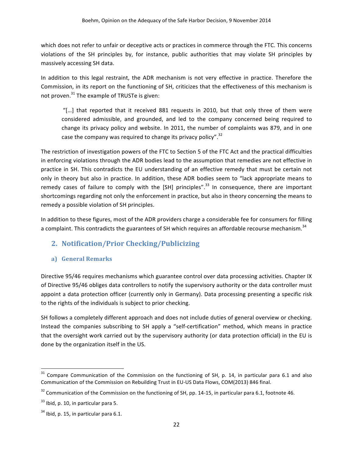which does not refer to unfair or deceptive acts or practices in commerce through the FTC. This concerns violations of the SH principles by, for instance, public authorities that may violate SH principles by massively accessing SH data.

In addition to this legal restraint, the ADR mechanism is not very effective in practice. Therefore the Commission, in its report on the functioning of SH, criticizes that the effectiveness of this mechanism is not proven.<sup>31</sup> The example of TRUSTe is given:

"[...] that reported that it received 881 requests in 2010, but that only three of them were considered admissible, and grounded, and led to the company concerned being required to change its privacy policy and website. In 2011, the number of complaints was 879, and in one case the company was required to change its privacy policy".<sup>32</sup>

The restriction of investigation powers of the FTC to Section 5 of the FTC Act and the practical difficulties in enforcing violations through the ADR bodies lead to the assumption that remedies are not effective in practice in SH. This contradicts the EU understanding of an effective remedy that must be certain not only in theory but also in practice. In addition, these ADR bodies seem to "lack appropriate means to remedy cases of failure to comply with the [SH] principles".<sup>33</sup> In consequence, there are important shortcomings regarding not only the enforcement in practice, but also in theory concerning the means to remedy a possible violation of SH principles.

In addition to these figures, most of the ADR providers charge a considerable fee for consumers for filling a complaint. This contradicts the guarantees of SH which requires an affordable recourse mechanism.<sup>34</sup>

## **2. Notification/Prior Checking/Publicizing**

## **a) General Remarks**

Directive 95/46 requires mechanisms which guarantee control over data processing activities. Chapter IX of Directive 95/46 obliges data controllers to notify the supervisory authority or the data controller must appoint a data protection officer (currently only in Germany). Data processing presenting a specific risk to the rights of the individuals is subject to prior checking.

SH follows a completely different approach and does not include duties of general overview or checking. Instead the companies subscribing to SH apply a "self-certification" method, which means in practice that the oversight work carried out by the supervisory authority (or data protection official) in the EU is done by the organization itself in the US.

<u> 1989 - Johann Stein, markin film yn y breninn y breninn y breninn y breninn y breninn y breninn y breninn y b</u>

 $31$  Compare Communication of the Commission on the functioning of SH, p. 14, in particular para 6.1 and also Communication of the Commission on Rebuilding Trust in EU-US Data Flows, COM(2013) 846 final.

 $32$  Communication of the Commission on the functioning of SH, pp. 14-15, in particular para 6.1, footnote 46.

 $33$  Ibid, p. 10, in particular para 5.

 $34$  Ibid, p. 15, in particular para 6.1.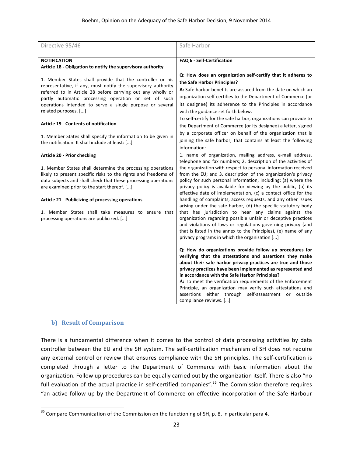| Directive 95/46                                                                                                                                                                                                                                                                                                                       | Safe Harbor                                                                                                                                                                                                                                                                                                                                                                                                                                                                                                          |
|---------------------------------------------------------------------------------------------------------------------------------------------------------------------------------------------------------------------------------------------------------------------------------------------------------------------------------------|----------------------------------------------------------------------------------------------------------------------------------------------------------------------------------------------------------------------------------------------------------------------------------------------------------------------------------------------------------------------------------------------------------------------------------------------------------------------------------------------------------------------|
| <b>NOTIFICATION</b>                                                                                                                                                                                                                                                                                                                   | FAQ 6 - Self-Certification                                                                                                                                                                                                                                                                                                                                                                                                                                                                                           |
| Article 18 - Obligation to notify the supervisory authority                                                                                                                                                                                                                                                                           |                                                                                                                                                                                                                                                                                                                                                                                                                                                                                                                      |
|                                                                                                                                                                                                                                                                                                                                       |                                                                                                                                                                                                                                                                                                                                                                                                                                                                                                                      |
| 1. Member States shall provide that the controller or his<br>representative, if any, must notify the supervisory authority<br>referred to in Article 28 before carrying out any wholly or<br>partly automatic processing operation or set of such<br>operations intended to serve a single purpose or several<br>related purposes. [] | Q: How does an organization self-certify that it adheres to<br>the Safe Harbor Principles?<br>A: Safe harbor benefits are assured from the date on which an<br>organization self-certifies to the Department of Commerce (or<br>its designee) its adherence to the Principles in accordance<br>with the guidance set forth below.                                                                                                                                                                                    |
| <b>Article 19 - Contents of notification</b>                                                                                                                                                                                                                                                                                          | To self-certify for the safe harbor, organizations can provide to<br>the Department of Commerce (or its designee) a letter, signed                                                                                                                                                                                                                                                                                                                                                                                   |
| 1. Member States shall specify the information to be given in<br>the notification. It shall include at least: []                                                                                                                                                                                                                      | by a corporate officer on behalf of the organization that is<br>joining the safe harbor, that contains at least the following<br>information:                                                                                                                                                                                                                                                                                                                                                                        |
| Article 20 - Prior checking                                                                                                                                                                                                                                                                                                           | 1. name of organization, mailing address, e-mail address,                                                                                                                                                                                                                                                                                                                                                                                                                                                            |
| 1. Member States shall determine the processing operations<br>likely to present specific risks to the rights and freedoms of<br>data subjects and shall check that these processing operations<br>are examined prior to the start thereof. []                                                                                         | telephone and fax numbers; 2. description of the activities of<br>the organization with respect to personal information received<br>from the EU; and 3. description of the organization's privacy<br>policy for such personal information, including: (a) where the<br>privacy policy is available for viewing by the public, (b) its<br>effective date of implementation, (c) a contact office for the                                                                                                              |
| Article 21 - Publicizing of processing operations                                                                                                                                                                                                                                                                                     | handling of complaints, access requests, and any other issues                                                                                                                                                                                                                                                                                                                                                                                                                                                        |
| 1. Member States shall take measures to ensure that<br>processing operations are publicized. []                                                                                                                                                                                                                                       | arising under the safe harbor, (d) the specific statutory body<br>that has jurisdiction to hear any claims against the<br>organization regarding possible unfair or deceptive practices<br>and violations of laws or regulations governing privacy (and<br>that is listed in the annex to the Principles), (e) name of any<br>privacy programs in which the organization []                                                                                                                                          |
|                                                                                                                                                                                                                                                                                                                                       | Q: How do organizations provide follow up procedures for<br>verifying that the attestations and assertions they make<br>about their safe harbor privacy practices are true and those<br>privacy practices have been implemented as represented and<br>in accordance with the Safe Harbor Principles?<br>A: To meet the verification requirements of the Enforcement<br>Principle, an organization may verify such attestations and<br>assertions either through self-assessment or outside<br>compliance reviews. [] |

### **b) Result of Comparison**

<u> 1989 - Johann Stein, markin film yn y breninn y breninn y breninn y breninn y breninn y breninn y breninn y b</u>

There is a fundamental difference when it comes to the control of data processing activities by data controller between the EU and the SH system. The self-certification mechanism of SH does not require any external control or review that ensures compliance with the SH principles. The self-certification is completed through a letter to the Department of Commerce with basic information about the organization. Follow up procedures can be equally carried out by the organization itself. There is also "no full evaluation of the actual practice in self-certified companies".<sup>35</sup> The Commission therefore requires "an active follow up by the Department of Commerce on effective incorporation of the Safe Harbour

<sup>&</sup>lt;sup>35</sup> Compare Communication of the Commission on the functioning of SH, p. 8, in particular para 4.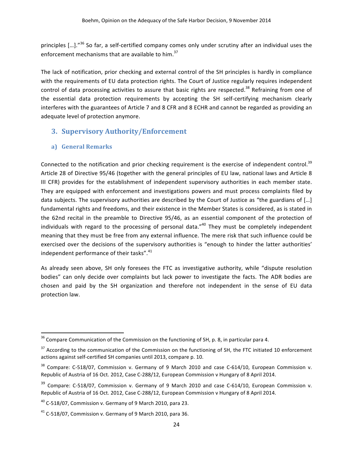principles [...]."<sup>36</sup> So far, a self-certified company comes only under scrutiny after an individual uses the enforcement mechanisms that are available to him.<sup>37</sup>

The lack of notification, prior checking and external control of the SH principles is hardly in compliance with the requirements of EU data protection rights. The Court of Justice regularly requires independent control of data processing activities to assure that basic rights are respected.<sup>38</sup> Refraining from one of the essential data protection requirements by accepting the SH self-certifying mechanism clearly interferes with the guarantees of Article 7 and 8 CFR and 8 ECHR and cannot be regarded as providing an adequate level of protection anymore.

## **3. Supervisory Authority/Enforcement**

### **a) General Remarks**

<u> 1989 - Johann Stein, markin film yn y breninn y breninn y breninn y breninn y breninn y breninn y breninn y b</u>

Connected to the notification and prior checking requirement is the exercise of independent control.<sup>39</sup> Article 28 of Directive 95/46 (together with the general principles of EU law, national laws and Article 8 III CFR) provides for the establishment of independent supervisory authorities in each member state. They are equipped with enforcement and investigations powers and must process complaints filed by data subjects. The supervisory authorities are described by the Court of Justice as "the guardians of [...] fundamental rights and freedoms, and their existence in the Member States is considered, as is stated in the 62nd recital in the preamble to Directive 95/46, as an essential component of the protection of individuals with regard to the processing of personal data."<sup>40</sup> They must be completely independent meaning that they must be free from any external influence. The mere risk that such influence could be exercised over the decisions of the supervisory authorities is "enough to hinder the latter authorities' independent performance of their tasks".<sup>41</sup>

As already seen above, SH only foresees the FTC as investigative authority, while "dispute resolution bodies" can only decide over complaints but lack power to investigate the facts. The ADR bodies are chosen and paid by the SH organization and therefore not independent in the sense of EU data protection law.

 $36$  Compare Communication of the Commission on the functioning of SH, p. 8, in particular para 4.

 $37$  According to the communication of the Commission on the functioning of SH, the FTC initiated 10 enforcement actions against self-certified SH companies until 2013, compare p. 10.

 $38$  Compare: C-518/07, Commission v. Germany of 9 March 2010 and case C-614/10, European Commission v. Republic of Austria of 16 Oct. 2012, Case C-288/12, European Commission v Hungary of 8 April 2014.

 $39$  Compare: C-518/07, Commission v. Germany of 9 March 2010 and case C-614/10, European Commission v. Republic of Austria of 16 Oct. 2012, Case C-288/12, European Commission v Hungary of 8 April 2014.

 $^{40}$  C-518/07, Commission v. Germany of 9 March 2010, para 23.

 $41$  C-518/07, Commission v. Germany of 9 March 2010, para 36.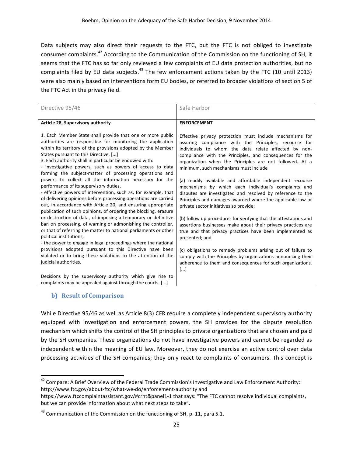Data subjects may also direct their requests to the FTC, but the FTC is not obliged to investigate consumer complaints.<sup>42</sup> According to the Communication of the Commission on the functioning of SH, it seems that the FTC has so far only reviewed a few complaints of EU data protection authorities, but no complaints filed by EU data subjects.<sup>43</sup> The few enforcement actions taken by the FTC (10 until 2013) were also mainly based on interventions form EU bodies, or referred to broader violations of section 5 of the FTC Act in the privacy field.

| Directive 95/46                                                                                                                                                                                                                                                                                                                                                                                                                                                                                                                                                                                                                                                                                                                                                                                                                                                                                                                                                                                                                                                                                                                                                                                                                                       | Safe Harbor                                                                                                                                                                                                                                                                                                                                                                                                                                                                                                                                                                                                                                                                                                                                                                                                                                                                                                                                                                                                                                          |
|-------------------------------------------------------------------------------------------------------------------------------------------------------------------------------------------------------------------------------------------------------------------------------------------------------------------------------------------------------------------------------------------------------------------------------------------------------------------------------------------------------------------------------------------------------------------------------------------------------------------------------------------------------------------------------------------------------------------------------------------------------------------------------------------------------------------------------------------------------------------------------------------------------------------------------------------------------------------------------------------------------------------------------------------------------------------------------------------------------------------------------------------------------------------------------------------------------------------------------------------------------|------------------------------------------------------------------------------------------------------------------------------------------------------------------------------------------------------------------------------------------------------------------------------------------------------------------------------------------------------------------------------------------------------------------------------------------------------------------------------------------------------------------------------------------------------------------------------------------------------------------------------------------------------------------------------------------------------------------------------------------------------------------------------------------------------------------------------------------------------------------------------------------------------------------------------------------------------------------------------------------------------------------------------------------------------|
| Article 28, Supervisory authority                                                                                                                                                                                                                                                                                                                                                                                                                                                                                                                                                                                                                                                                                                                                                                                                                                                                                                                                                                                                                                                                                                                                                                                                                     | <b>ENFORCEMENT</b>                                                                                                                                                                                                                                                                                                                                                                                                                                                                                                                                                                                                                                                                                                                                                                                                                                                                                                                                                                                                                                   |
| 1. Each Member State shall provide that one or more public<br>authorities are responsible for monitoring the application<br>within its territory of the provisions adopted by the Member<br>States pursuant to this Directive. []<br>3. Each authority shall in particular be endowed with:<br>- investigative powers, such as powers of access to data<br>forming the subject-matter of processing operations and<br>powers to collect all the information necessary for the<br>performance of its supervisory duties,<br>- effective powers of intervention, such as, for example, that<br>of delivering opinions before processing operations are carried<br>out, in accordance with Article 20, and ensuring appropriate<br>publication of such opinions, of ordering the blocking, erasure<br>or destruction of data, of imposing a temporary or definitive<br>ban on processing, of warning or admonishing the controller,<br>or that of referring the matter to national parliaments or other<br>political institutions,<br>- the power to engage in legal proceedings where the national<br>provisions adopted pursuant to this Directive have been<br>violated or to bring these violations to the attention of the<br>judicial authorities. | Effective privacy protection must include mechanisms for<br>assuring compliance with the Principles, recourse for<br>individuals to whom the data relate affected by non-<br>compliance with the Principles, and consequences for the<br>organization when the Principles are not followed. At a<br>minimum, such mechanisms must include<br>(a) readily available and affordable independent recourse<br>mechanisms by which each individual's complaints and<br>disputes are investigated and resolved by reference to the<br>Principles and damages awarded where the applicable law or<br>private sector initiatives so provide;<br>(b) follow up procedures for verifying that the attestations and<br>assertions businesses make about their privacy practices are<br>true and that privacy practices have been implemented as<br>presented; and<br>(c) obligations to remedy problems arising out of failure to<br>comply with the Principles by organizations announcing their<br>adherence to them and consequences for such organizations. |
| Decisions by the supervisory authority which give rise to<br>complaints may be appealed against through the courts. []                                                                                                                                                                                                                                                                                                                                                                                                                                                                                                                                                                                                                                                                                                                                                                                                                                                                                                                                                                                                                                                                                                                                | $\left[\ldots\right]$                                                                                                                                                                                                                                                                                                                                                                                                                                                                                                                                                                                                                                                                                                                                                                                                                                                                                                                                                                                                                                |

#### **b) Result of Comparison**

<u> 1989 - Johann Stein, markin film yn y breninn y breninn y breninn y breninn y breninn y breninn y breninn y b</u>

While Directive 95/46 as well as Article 8(3) CFR require a completely independent supervisory authority equipped with investigation and enforcement powers, the SH provides for the dispute resolution mechanism which shifts the control of the SH principles to private organizations that are chosen and paid by the SH companies. These organizations do not have investigative powers and cannot be regarded as independent within the meaning of EU law. Moreover, they do not exercise an active control over data processing activities of the SH companies; they only react to complaints of consumers. This concept is

 $^{42}$  Compare: A Brief Overview of the Federal Trade Commission's Investigative and Law Enforcement Authority: http://www.ftc.gov/about-ftc/what-we-do/enforcement-authority and

https://www.ftccomplaintassistant.gov/#crnt&panel1-1 that says: "The FTC cannot resolve individual complaints, but we can provide information about what next steps to take".

 $^{43}$  Communication of the Commission on the functioning of SH, p. 11, para 5.1.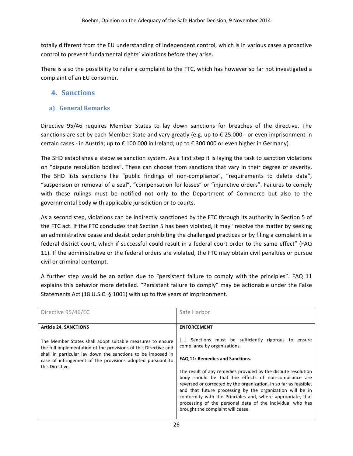totally different from the EU understanding of independent control, which is in various cases a proactive control to prevent fundamental rights' violations before they arise.

There is also the possibility to refer a complaint to the FTC, which has however so far not investigated a complaint of an EU consumer.

## **4. Sanctions**

### **a) General Remarks**

Directive 95/46 requires Member States to lay down sanctions for breaches of the directive. The sanctions are set by each Member State and vary greatly (e.g. up to  $\epsilon$  25.000 - or even imprisonment in certain cases - in Austria; up to € 100.000 in Ireland; up to € 300.000 or even higher in Germany).

The SHD establishes a stepwise sanction system. As a first step it is laying the task to sanction violations on "dispute resolution bodies". These can choose from sanctions that vary in their degree of severity. The SHD lists sanctions like "public findings of non-compliance", "requirements to delete data", "suspension or removal of a seal", "compensation for losses" or "injunctive orders". Failures to comply with these rulings must be notified not only to the Department of Commerce but also to the governmental body with applicable jurisdiction or to courts.

As a second step, violations can be indirectly sanctioned by the FTC through its authority in Section 5 of the FTC act. If the FTC concludes that Section 5 has been violated, it may "resolve the matter by seeking an administrative cease and desist order prohibiting the challenged practices or by filing a complaint in a federal district court, which if successful could result in a federal court order to the same effect" (FAQ 11). If the administrative or the federal orders are violated, the FTC may obtain civil penalties or pursue civil or criminal contempt.

A further step would be an action due to "persistent failure to comply with the principles". FAQ 11 explains this behavior more detailed. "Persistent failure to comply" may be actionable under the False Statements Act (18 U.S.C. § 1001) with up to five years of imprisonment.

| <b>ENFORCEMENT</b><br><b>Article 24, SANCTIONS</b><br>[] Sanctions must be sufficiently rigorous to ensure<br>The Member States shall adopt suitable measures to ensure<br>compliance by organizations.<br>the full implementation of the provisions of this Directive and<br>shall in particular lay down the sanctions to be imposed in<br>FAQ 11: Remedies and Sanctions.<br>case of infringement of the provisions adopted pursuant to<br>this Directive.<br>The result of any remedies provided by the dispute resolution<br>body should be that the effects of non-compliance are<br>reversed or corrected by the organization, in so far as feasible,<br>and that future processing by the organization will be in<br>conformity with the Principles and, where appropriate, that<br>processing of the personal data of the individual who has<br>brought the complaint will cease. |  |
|--------------------------------------------------------------------------------------------------------------------------------------------------------------------------------------------------------------------------------------------------------------------------------------------------------------------------------------------------------------------------------------------------------------------------------------------------------------------------------------------------------------------------------------------------------------------------------------------------------------------------------------------------------------------------------------------------------------------------------------------------------------------------------------------------------------------------------------------------------------------------------------------|--|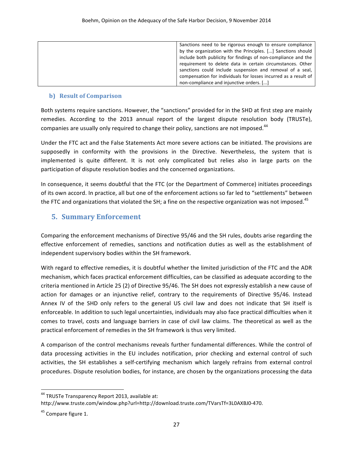| Sanctions need to be rigorous enough to ensure compliance       |
|-----------------------------------------------------------------|
| by the organization with the Principles. [] Sanctions should    |
| include both publicity for findings of non-compliance and the   |
| requirement to delete data in certain circumstances. Other      |
| sanctions could include suspension and removal of a seal,       |
| compensation for individuals for losses incurred as a result of |
| non-compliance and injunctive orders. []                        |

#### **b) Result of Comparison**

Both systems require sanctions. However, the "sanctions" provided for in the SHD at first step are mainly remedies. According to the 2013 annual report of the largest dispute resolution body (TRUSTe), companies are usually only required to change their policy, sanctions are not imposed.<sup>44</sup>

Under the FTC act and the False Statements Act more severe actions can be initiated. The provisions are supposedly in conformity with the provisions in the Directive. Nevertheless, the system that is implemented is quite different. It is not only complicated but relies also in large parts on the participation of dispute resolution bodies and the concerned organizations.

In consequence, it seems doubtful that the FTC (or the Department of Commerce) initiates proceedings of its own accord. In practice, all but one of the enforcement actions so far led to "settlements" between the FTC and organizations that violated the SH; a fine on the respective organization was not imposed.<sup>45</sup>

## **5. Summary Enforcement**

Comparing the enforcement mechanisms of Directive 95/46 and the SH rules, doubts arise regarding the effective enforcement of remedies, sanctions and notification duties as well as the establishment of independent supervisory bodies within the SH framework.

With regard to effective remedies, it is doubtful whether the limited jurisdiction of the FTC and the ADR mechanism, which faces practical enforcement difficulties, can be classified as adequate according to the criteria mentioned in Article 25 (2) of Directive 95/46. The SH does not expressly establish a new cause of action for damages or an injunctive relief, contrary to the requirements of Directive 95/46. Instead Annex IV of the SHD only refers to the general US civil law and does not indicate that SH itself is enforceable. In addition to such legal uncertainties, individuals may also face practical difficulties when it comes to travel, costs and language barriers in case of civil law claims. The theoretical as well as the practical enforcement of remedies in the SH framework is thus very limited.

A comparison of the control mechanisms reveals further fundamental differences. While the control of data processing activities in the EU includes notification, prior checking and external control of such activities, the SH establishes a self-certifying mechanism which largely refrains from external control procedures. Dispute resolution bodies, for instance, are chosen by the organizations processing the data

<u> 1989 - Johann Stein, markin film yn y breninn y breninn y breninn y breninn y breninn y breninn y breninn y b</u>

<sup>&</sup>lt;sup>44</sup> TRUSTe Transparency Report 2013, available at:

http://www.truste.com/window.php?url=http://download.truste.com/TVarsTf=3L0AXBJ0-470.

 $45$  Compare figure 1.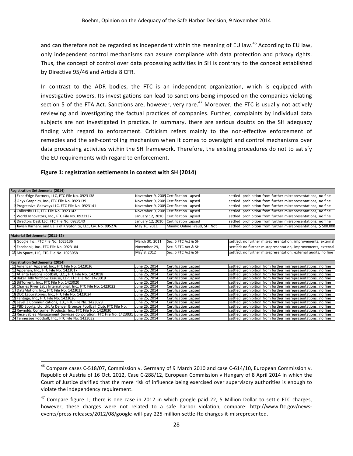and can therefore not be regarded as independent within the meaning of EU law.<sup>46</sup> According to EU law, only independent control mechanisms can assure compliance with data protection and privacy rights. Thus, the concept of control over data processing activities in SH is contrary to the concept established by Directive 95/46 and Article 8 CFR.

In contrast to the ADR bodies, the FTC is an independent organization, which is equipped with investigative powers. Its investigations can lead to sanctions being imposed on the companies violating section 5 of the FTA Act. Sanctions are, however, very rare.<sup>47</sup> Moreover, the FTC is usually not actively reviewing and investigating the factual practices of companies. Further, complaints by individual data subjects are not investigated in practice. In summary, there are serious doubts on the SH adequacy finding with regard to enforcement. Criticism refers mainly to the non-effective enforcement of remedies and the self-controlling mechanism when it comes to oversight and control mechanisms over data processing activities within the SH framework. Therefore, the existing procedures do not to satisfy the EU requirements with regard to enforcement.

#### **Figure 1: registration settlements in context with SH (2014)**

 

| <b>Registration Settlements (2014)</b>                               |                |                                       |                                                                 |
|----------------------------------------------------------------------|----------------|---------------------------------------|-----------------------------------------------------------------|
| ExpatEdge Partners, LLC, FTC File No. 0923138                        |                | November 9, 2009 Certification Lapsed | settled: prohibition from further misrepresentations, no fine   |
| Onyx Graphics, Inc., FTC File No. 0923139                            |                | November 9, 2009 Certification Lapsed | settled: prohibition from further misrepresentations, no fine   |
| Progressive Gaitways LLC, FTC File No. 0923141                       |                | November 9, 2009 Certification Lapsed | settled: prohibition from further misrepresentations, no fine   |
| Collectify LLC, FTC File No. 0923142                                 |                | November 9, 2009 Certification Lapsed | settled: prohibition from further misrepresentations, no fine   |
| World Innovators, Inc., FTC File No. 0923137                         |                | January 12, 2010 Certification Lapsed | settled: prohibition from further misrepresentations, no fine   |
| 6 Directors Desk LLC, FTC File No. 0923140                           |                | January 12, 2010 Certification Lapsed | settled: prohibition from further misrepresentations, no fine   |
| Javian Karnani, and Balls of Kryptonite, LLC, Civ. No. 095276        | May 16, 2011   | Mainly: Online Fraud, SH: Not         | settled: prohibition from further misrepresentations, \$500.000 |
|                                                                      |                |                                       |                                                                 |
| Material Settlements (2011-12)                                       |                |                                       |                                                                 |
| 8 Google Inc., FTC File No. 1023136                                  | March 30, 2011 | Sec. 5 FTC Act & SH                   | settled: no further misrepresentation, improvements, external   |
| 9 Facebook, Inc., FTC File No. 0923184                               | November 29,   | Sec. 5 FTC Act & SH                   | settled: no further misrepresentation, improvements, external   |
| 10 My Space, LLC, FTC File No. 1023058                               | May 8, 2012    | Sec. 5 FTC Act & SH                   | settled: no further misrepresentation, external audits, no fine |
|                                                                      |                |                                       |                                                                 |
| <b>Registration Settlements (2014)</b>                               |                |                                       |                                                                 |
| 11 American Apparel, Inc., FTC File No. 1423036                      | June 25. 2014  | Certification Lapsed                  | settled: prohibition from further misrepresentations, no fine   |
| 12 Apperian, Inc., FTC File No. 1423017                              | June 25, 2014  | Certification Lapsed                  | settled: prohibition from further misrepresentations, no fine   |
| 13 Atlanta Falcons Football, LLC., FTC File No. 1423018              | June 25, 2014  | Certification Lapsed                  | settled: prohibition from further misrepresentations, no fine   |
| Baker Tilly Virchow Krause, LLP, FTC File No. 1423019                | June 25, 2014  | Certification Lapsed                  | settled: prohibition from further misrepresentations, no fine   |
| BitTorrent, Inc., FTC File No. 1423020                               | June 25. 2014  | Certification Lapsed                  | settled: prohibition from further misrepresentations, no fine   |
| 16 Charles River Labs International, Inc., FTC File No. 1423022      | June 25, 2014  | Certification Lapsed                  | settled: prohibition from further misrepresentations, no fine   |
| 17 DataMotion, Inc., FTC File No. 1423023                            | June 25, 2014  | Certification Lapsed                  | settled: prohibition from further misrepresentations, no fine   |
| 18 DDC Laboratories, Inc., FTC File No. 1423024                      | June 25, 2014  | Certification Lapsed                  | settled: prohibition from further misrepresentations, no fine   |
| 19 Fantage, Inc., FTC File No. 1423026                               | June 25, 2014  | Certification Lapsed                  | settled: prohibition from further misrepresentations, no fine   |
| 20 Level 3 Communications, LLC, FTC File No. 1423028                 | June 25, 2014  | Certification Lapsed                  | settled: prohibition from further misrepresentations, no fine   |
| 21 PBD Sports, Ltd. d/b/a Denver Broncos Football Club, FTC File No. | June 25, 2014  | Certification Lapsed                  | settled: prohibition from further misrepresentations, no fine   |
| 22 Reynolds Consumer Products, Inc., FTC File No. 1423030            | June 25, 2014  | Certification Lapsed                  | settled: prohibition from further misrepresentations, no fine   |
| 23 Receivables Management Services Corporation, FTC File No. 1423031 | June 25, 2014  | Certification Lapsed                  | settled: prohibition from further misrepresentations, no fine   |
| 24 Tennessee Football, Inc., FTC File No. 1423032                    | June 25. 2014  | Certification Lapsed                  | settled: prohibition from further misrepresentations, no fine   |

<sup>&</sup>lt;sup>46</sup> Compare cases C-518/07, Commission v. Germany of 9 March 2010 and case C-614/10, European Commission v. Republic of Austria of 16 Oct. 2012, Case C-288/12, European Commission v Hungary of 8 April 2014 in which the Court of Justice clarified that the mere risk of influence being exercised over supervisory authorities is enough to violate the independency requirement.

 $47$  Compare figure 1; there is one case in 2012 in which google paid 22, 5 Million Dollar to settle FTC charges, however, these charges were not related to a safe harbor violation, compare: http://www.ftc.gov/newsevents/press-releases/2012/08/google-will-pay-225-million-settle-ftc-charges-it-misrepresented.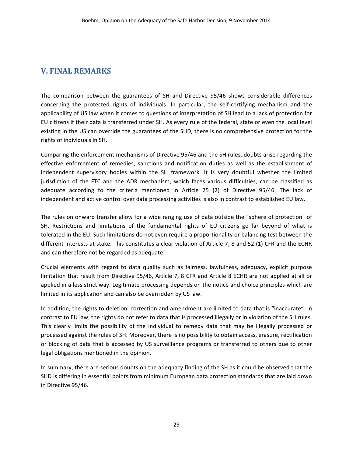## **V. FINAL REMARKS**

The comparison between the guarantees of SH and Directive 95/46 shows considerable differences concerning the protected rights of individuals. In particular, the self-certifying mechanism and the applicability of US law when it comes to questions of interpretation of SH lead to a lack of protection for EU citizens if their data is transferred under SH. As every rule of the federal, state or even the local level existing in the US can override the guarantees of the SHD, there is no comprehensive protection for the rights of individuals in SH.

Comparing the enforcement mechanisms of Directive 95/46 and the SH rules, doubts arise regarding the effective enforcement of remedies, sanctions and notification duties as well as the establishment of independent supervisory bodies within the SH framework. It is very doubtful whether the limited jurisdiction of the FTC and the ADR mechanism, which faces various difficulties, can be classified as adequate according to the criteria mentioned in Article 25 (2) of Directive 95/46. The lack of independent and active control over data processing activities is also in contrast to established EU law.

The rules on onward transfer allow for a wide ranging use of data outside the "sphere of protection" of SH. Restrictions and limitations of the fundamental rights of EU citizens go far beyond of what is tolerated in the EU. Such limitations do not even require a proportionality or balancing test between the different interests at stake. This constitutes a clear violation of Article 7, 8 and 52 (1) CFR and the ECHR and can therefore not be regarded as adequate.

Crucial elements with regard to data quality such as fairness, lawfulness, adequacy, explicit purpose limitation that result from Directive 95/46, Article 7, 8 CFR and Article 8 ECHR are not applied at all or applied in a less strict way. Legitimate processing depends on the notice and choice principles which are limited in its application and can also be overridden by US law.

In addition, the rights to deletion, correction and amendment are limited to data that is "inaccurate". In contrast to EU law, the rights do not refer to data that is processed illegally or in violation of the SH rules. This clearly limits the possibility of the individual to remedy data that may be illegally processed or processed against the rules of SH. Moreover, there is no possibility to obtain access, erasure, rectification or blocking of data that is accessed by US surveillance programs or transferred to others due to other legal obligations mentioned in the opinion.

In summary, there are serious doubts on the adequacy finding of the SH as it could be observed that the SHD is differing in essential points from minimum European data protection standards that are laid down in Directive 95/46.